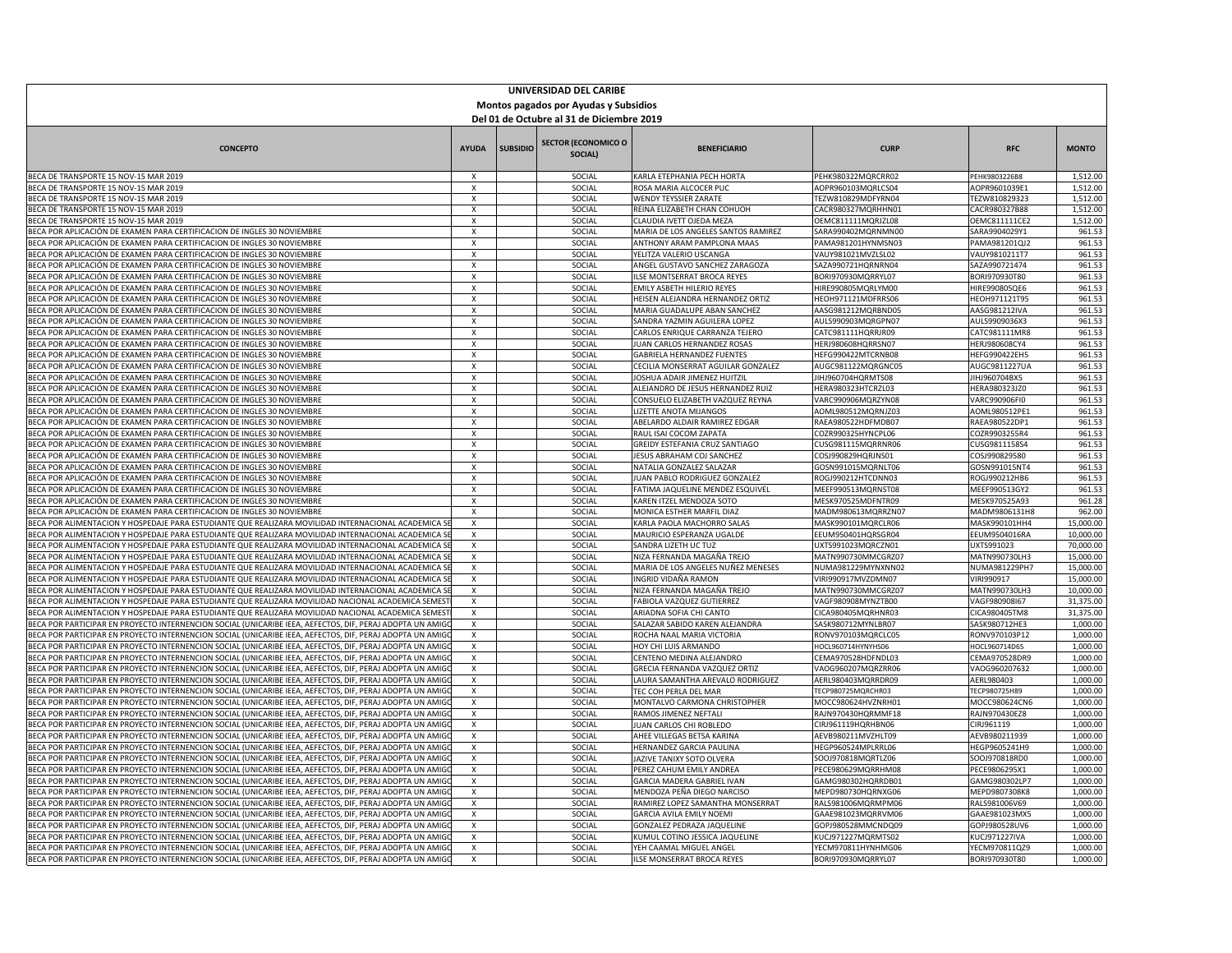| UNIVERSIDAD DEL CARIBE                                                                                                                                                                                               |                                       |                 |                                       |                                                               |                                                 |                                |                        |  |
|----------------------------------------------------------------------------------------------------------------------------------------------------------------------------------------------------------------------|---------------------------------------|-----------------|---------------------------------------|---------------------------------------------------------------|-------------------------------------------------|--------------------------------|------------------------|--|
| Montos pagados por Ayudas y Subsidios<br>Del 01 de Octubre al 31 de Diciembre 2019                                                                                                                                   |                                       |                 |                                       |                                                               |                                                 |                                |                        |  |
|                                                                                                                                                                                                                      |                                       |                 |                                       |                                                               |                                                 |                                |                        |  |
| <b>CONCEPTO</b>                                                                                                                                                                                                      | <b>AYUDA</b>                          | <b>SUBSIDIO</b> | <b>SECTOR (ECONOMICO O</b><br>SOCIAL) | <b>BENEFICIARIO</b>                                           | <b>CURP</b>                                     | <b>RFC</b>                     | <b>MONTO</b>           |  |
| BECA DE TRANSPORTE 15 NOV-15 MAR 2019                                                                                                                                                                                | $\mathsf{X}$                          |                 | SOCIAL                                | KARLA ETEPHANIA PECH HORTA                                    | PEHK980322MQRCRR02                              | PEHK9803226B8                  | 1,512.00               |  |
| BECA DE TRANSPORTE 15 NOV-15 MAR 2019                                                                                                                                                                                | X                                     |                 | SOCIAL                                | ROSA MARIA ALCOCER PUC                                        | AOPR960103MQRLCS04                              | AOPR9601039E1                  | 1,512.00               |  |
| BECA DE TRANSPORTE 15 NOV-15 MAR 2019                                                                                                                                                                                | x                                     |                 | SOCIAL                                | WENDY TEYSSIER ZARATE                                         | FEZW810829MDFYRN04                              | TEZW810829323                  | 1,512.00               |  |
| BECA DE TRANSPORTE 15 NOV-15 MAR 2019<br>BECA DE TRANSPORTE 15 NOV-15 MAR 2019                                                                                                                                       | X<br>X                                |                 | SOCIAL<br>SOCIAL                      | REINA ELIZABETH CHAN COHUOH<br>CLAUDIA IVETT OIFDA MEZA       | CACR980327MQRHHN01<br><b>DEMC811111MORIZL08</b> | CACR980327B88<br>OEMC811111CE2 | 1,512.00<br>1,512.00   |  |
| BECA POR APLICACIÓN DE EXAMEN PARA CERTIFICACION DE INGLES 30 NOVIEMBRE                                                                                                                                              | X                                     |                 | SOCIAL                                | MARIA DE LOS ANGELES SANTOS RAMIREZ                           | SARA990402MQRNMN00                              | SARA9904029Y1                  | 961.53                 |  |
| BECA POR APLICACIÓN DE EXAMEN PARA CERTIFICACION DE INGLES 30 NOVIEMBRE                                                                                                                                              | $\times$                              |                 | SOCIAL                                | ANTHONY ARAM PAMPLONA MAAS                                    | PAMA981201HYNMSN03                              | PAMA981201QJ2                  | 961.53                 |  |
| BECA POR APLICACIÓN DE EXAMEN PARA CERTIFICACION DE INGLES 30 NOVIEMBRE                                                                                                                                              | X                                     |                 | SOCIAL                                | YELITZA VALERIO USCANGA                                       | VAUY981021MVZLSL02                              | VAUY9810211T7                  | 961.53                 |  |
| BECA POR APLICACIÓN DE EXAMEN PARA CERTIFICACION DE INGLES 30 NOVIEMBRE                                                                                                                                              | X                                     |                 | SOCIAL                                | ANGEL GUSTAVO SANCHEZ ZARAGOZA                                | SAZA990721HQRNRN04                              | AZA990721474                   | 961.53                 |  |
| BECA POR APLICACIÓN DE EXAMEN PARA CERTIFICACION DE INGLES 30 NOVIEMBRE                                                                                                                                              | $\overline{X}$                        |                 | SOCIAL                                | ILSE MONTSERRAT BROCA REYES                                   | BORI970930MQRRYL07                              | BORI970930T80                  | 961.53                 |  |
| BECA POR APLICACIÓN DE EXAMEN PARA CERTIFICACION DE INGLES 30 NOVIEMBRE                                                                                                                                              | $\mathsf{X}$                          |                 | SOCIAL                                | EMILY ASBETH HILERIO REYES                                    | HIRE990805MORLYM00                              | HIRE990805QE6                  | 961.53                 |  |
| BECA POR APLICACIÓN DE EXAMEN PARA CERTIFICACION DE INGLES 30 NOVIEMBRE                                                                                                                                              | X                                     |                 | SOCIAL                                | <b>IEISEN ALEJANDRA HERNANDEZ ORTIZ</b>                       | HEOH971121MDFRRS06                              | <b>IEOH971121T95</b>           | 961.53                 |  |
| BECA POR APLICACIÓN DE EXAMEN PARA CERTIFICACION DE INGLES 30 NOVIEMBRE                                                                                                                                              | X                                     |                 | SOCIAL                                | MARIA GUADALUPE ABAN SANCHEZ                                  | AASG981212MQRBND05                              | AASG981212IVA                  | 961.53                 |  |
| BECA POR APLICACIÓN DE EXAMEN PARA CERTIFICACION DE INGLES 30 NOVIEMBRE                                                                                                                                              | х                                     |                 | SOCIAL                                | SANDRA YAZMIN AGUILERA LOPEZ                                  | AULS990903MQRGPN07                              | AULS9909036X3                  | 961.53                 |  |
| BECA POR APLICACIÓN DE EXAMEN PARA CERTIFICACION DE INGLES 30 NOVIEMBRE<br>BECA POR APLICACIÓN DE EXAMEN PARA CERTIFICACION DE INGLES 30 NOVIEMBRE                                                                   | X<br>$\mathsf{X}$                     |                 | SOCIAL<br>SOCIAL                      | CARLOS ENRIQUE CARRANZA TEJERO<br>JUAN CARLOS HERNANDEZ ROSAS | CATC981111HQRRJR09<br>HERJ980608HQRRSN07        | CATC981111MR8<br>HERJ980608CY4 | 961.53<br>961.53       |  |
| BECA POR APLICACIÓN DE EXAMEN PARA CERTIFICACION DE INGLES 30 NOVIEMBRE                                                                                                                                              | $\pmb{\chi}$                          |                 | SOCIAL                                | GABRIELA HERNANDEZ FUENTES                                    | HEFG990422MTCRNB08                              | <b>HEFG990422EH5</b>           | 961.53                 |  |
| BECA POR APLICACIÓN DE EXAMEN PARA CERTIFICACION DE INGLES 30 NOVIEMBRE                                                                                                                                              | $\overline{X}$                        |                 | SOCIAL                                | CECILIA MONSERRAT AGUILAR GONZALEZ                            | AUGC981122MQRGNC05                              | AUGC9811227UA                  | 961.53                 |  |
| BECA POR APLICACIÓN DE EXAMEN PARA CERTIFICACION DE INGLES 30 NOVIEMBRE                                                                                                                                              | X                                     |                 | SOCIAL                                | <b>OSHUA ADAIR JIMENEZ HUITZIL</b>                            | JIHJ960704HQRMTS08                              | JIHJ960704BX5                  | 961.53                 |  |
| BECA POR APLICACIÓN DE EXAMEN PARA CERTIFICACION DE INGLES 30 NOVIEMBRE                                                                                                                                              | X                                     |                 | SOCIAL                                | ALEJANDRO DE JESUS HERNANDEZ RUIZ                             | HERA980323HTCRZL03                              | HERA980323JZ0                  | 961.53                 |  |
| BECA POR APLICACIÓN DE EXAMEN PARA CERTIFICACION DE INGLES 30 NOVIEMBRE                                                                                                                                              | X                                     |                 | SOCIAL                                | CONSUELO ELIZABETH VAZQUEZ REYNA                              | VARC990906MQRZYN08                              | VARC990906FI0                  | 961.53                 |  |
| BECA POR APLICACIÓN DE EXAMEN PARA CERTIFICACION DE INGLES 30 NOVIEMBRE                                                                                                                                              | $\times$                              |                 | SOCIAL                                | LIZETTE ANOTA MIJANGOS                                        | AOML980512MQRNJZ03                              | AOML980512PE1                  | 961.53                 |  |
| BECA POR APLICACIÓN DE EXAMEN PARA CERTIFICACION DE INGLES 30 NOVIEMBRE                                                                                                                                              | X                                     |                 | SOCIAL                                | ABELARDO ALDAIR RAMIREZ EDGAR                                 | RAEA980522HDFMDB07                              | RAEA980522DP1                  | 961.53                 |  |
| BECA POR APLICACIÓN DE EXAMEN PARA CERTIFICACION DE INGLES 30 NOVIEMBRE                                                                                                                                              | X                                     |                 | SOCIAL                                | RAUL ISAI COCOM ZAPATA                                        | COZR990325HYNCPL06                              | COZR9903255R4                  | 961.53                 |  |
| BECA POR APLICACIÓN DE EXAMEN PARA CERTIFICACION DE INGLES 30 NOVIEMBRE                                                                                                                                              | $\overline{X}$                        |                 | SOCIAL                                | GREIDY ESTEFANIA CRUZ SANTIAGO                                | CUSG981115MQRRNR06                              | CUSG9811158S4                  | 961.53                 |  |
| BECA POR APLICACIÓN DE EXAMEN PARA CERTIFICACION DE INGLES 30 NOVIEMBRE                                                                                                                                              | X                                     |                 | SOCIAL                                | <b>JESUS ABRAHAM COJ SANCHEZ</b>                              | COSJ990829HQRJNS01                              | COSJ990829580                  | 961.53                 |  |
| BECA POR APLICACIÓN DE EXAMEN PARA CERTIFICACION DE INGLES 30 NOVIEMBRE<br>BECA POR APLICACIÓN DE EXAMEN PARA CERTIFICACION DE INGLES 30 NOVIEMBRE                                                                   | X                                     |                 | SOCIAL<br>SOCIAL                      | NATALIA GONZALEZ SALAZAR<br>JUAN PABLO RODRIGUEZ GONZALEZ     | 6OSN991015MQRNLT06<br><b>ROGJ990212HTCDNN03</b> | GOSN991015NT4                  | 961.53                 |  |
| BECA POR APLICACIÓN DE EXAMEN PARA CERTIFICACION DE INGLES 30 NOVIEMBRE                                                                                                                                              | x<br>Χ                                |                 | SOCIAL                                | FATIMA JAQUELINE MENDEZ ESQUIVEL                              | MEEF990513MQRNST08                              | ROGJ990212HB6<br>MEEF990513GY2 | 961.53<br>961.53       |  |
| BECA POR APLICACIÓN DE EXAMEN PARA CERTIFICACION DE INGLES 30 NOVIEMBRE                                                                                                                                              | X                                     |                 | SOCIAL                                | KAREN ITZEL MENDOZA SOTO                                      | MESK970525MDFNTR09                              | MESK970525A93                  | 961.28                 |  |
| BECA POR APLICACIÓN DE EXAMEN PARA CERTIFICACION DE INGLES 30 NOVIEMBRE                                                                                                                                              | $\mathsf{X}$                          |                 | SOCIAL                                | MONICA ESTHER MARFIL DIAZ                                     | MADM980613MQRRZN07                              | MADM9806131H8                  | 962.00                 |  |
| BECA POR ALIMENTACION Y HOSPEDAJE PARA ESTUDIANTE QUE REALIZARA MOVILIDAD INTERNACIONAL ACADEMICA                                                                                                                    | $\pmb{\times}$                        |                 | SOCIAL                                | KARLA PAOLA MACHORRO SALAS                                    | MASK990101MQRCLR06                              | MASK990101HH4                  | 15,000.00              |  |
| BECA POR ALIMENTACION Y HOSPEDAJE PARA ESTUDIANTE QUE REALIZARA MOVILIDAD INTERNACIONAL ACADEMICA S                                                                                                                  | $\overline{\mathbf{x}}$               |                 | SOCIAL                                | MAURICIO ESPERANZA UGALDE                                     | EEUM950401HQRSGR04                              | EEUM9504016RA                  | 10,000.00              |  |
| BECA POR ALIMENTACION Y HOSPEDAJE PARA ESTUDIANTE QUE REALIZARA MOVILIDAD INTERNACIONAL ACADEMICA SI                                                                                                                 | X                                     |                 | SOCIAL                                | SANDRA LIZETH UC TUZ                                          | UXTS991023MQRCZN01                              | UXTS991023                     | 70,000.00              |  |
| BECA POR ALIMENTACION Y HOSPEDAJE PARA ESTUDIANTE QUE REALIZARA MOVILIDAD INTERNACIONAL ACADEMICA S                                                                                                                  | X                                     |                 | SOCIAL                                | NIZA FERNANDA MAGAÑA TREJO                                    | MATN990730MMCGRZ07                              | MATN990730LH3                  | 15,000.00              |  |
| BECA POR ALIMENTACION Y HOSPEDAJE PARA ESTUDIANTE QUE REALIZARA MOVILIDAD INTERNACIONAL ACADEMICA S                                                                                                                  | X                                     |                 | SOCIAL                                | MARIA DE LOS ANGELES NUÑEZ MENESES                            | NUMA981229MYNXNN02                              | NUMA981229PH7                  | 15,000.00              |  |
| BECA POR ALIMENTACION Y HOSPEDAJE PARA ESTUDIANTE QUE REALIZARA MOVILIDAD INTERNACIONAL ACADEMICA                                                                                                                    | X                                     |                 | SOCIAL                                | INGRID VIDAÑA RAMON                                           | VIRI990917MVZDMN07                              | VIRI990917                     | 15,000.00              |  |
| BECA POR ALIMENTACION Y HOSPEDAJE PARA ESTUDIANTE QUE REALIZARA MOVILIDAD INTERNACIONAL ACADEMICA                                                                                                                    | $\boldsymbol{\mathsf{x}}$<br>$\times$ |                 | SOCIAL                                | NIZA FERNANDA MAGAÑA TREJO                                    | MATN990730MMCGRZ07                              | MATN990730LH3                  | 10,000.00              |  |
| BECA POR ALIMENTACION Y HOSPEDAJE PARA ESTUDIANTE QUE REALIZARA MOVILIDAD NACIONAL ACADEMICA SEMES<br>BECA POR ALIMENTACION Y HOSPEDAJE PARA ESTUDIANTE QUE REALIZARA MOVILIDAD NACIONAL ACADEMICA SEMES             | $\overline{\mathbf{x}}$               |                 | SOCIAL<br>SOCIAL                      | FABIOLA VAZQUEZ GUTIERREZ<br>ARIADNA SOFIA CHI CANTO          | VAGF980908MYNZTB00<br>CICA980405MQRHNR03        | VAGF980908167<br>CICA980405TM8 | 31,375.00<br>31,375.00 |  |
| BECA POR PARTICIPAR EN PROYECTO INTERNENCION SOCIAL (UNICARIBE IEEA, AEFECTOS, DIF, PERAJ ADOPTA UN AMIG                                                                                                             | X                                     |                 | SOCIAL                                | SALAZAR SABIDO KAREN ALEJANDRA                                | SASK980712MYNLBR07                              | SASK980712HE3                  | 1,000.00               |  |
| BECA POR PARTICIPAR EN PROYECTO INTERNENCION SOCIAL (UNICARIBE IEEA, AEFECTOS, DIF, PERAJ ADOPTA UN AMIG                                                                                                             | X                                     |                 | SOCIAL                                | ROCHA NAAL MARIA VICTORIA                                     | RONV970103MQRCLC05                              | RONV970103P12                  | 1,000.00               |  |
| BECA POR PARTICIPAR EN PROYECTO INTERNENCION SOCIAL (UNICARIBE IEEA, AEFECTOS, DIF. PERAJ ADOPTA UN AMIG                                                                                                             | X                                     |                 | SOCIAL                                | HOY CHI LUIS ARMANDO                                          | OCL960714HYNYHS06                               | HOCL960714D65                  | 1,000.00               |  |
| BECA POR PARTICIPAR EN PROYECTO INTERNENCION SOCIAL (UNICARIBE IEEA, AEFECTOS, DIF, PERAJ ADOPTA UN AMIG                                                                                                             | X                                     |                 | SOCIAL                                | CENTENO MEDINA ALEJANDRO                                      | CEMA970528HDFNDL03                              | CEMA970528DR9                  | 1,000.00               |  |
| BECA POR PARTICIPAR EN PROYECTO INTERNENCION SOCIAL (UNICARIBE IEEA, AEFECTOS, DIF, PERAJ ADOPTA UN AMIG                                                                                                             | X                                     |                 | SOCIAL                                | GRECIA FERNANDA VAZQUEZ ORTIZ                                 | VAOG960207MQRZRR06                              | VAOG960207632                  | 1,000.00               |  |
| BECA POR PARTICIPAR EN PROYECTO INTERNENCION SOCIAL (UNICARIBE IEEA, AEFECTOS, DIF, PERAJ ADOPTA UN AMIG                                                                                                             | X                                     |                 | SOCIAL                                | LAURA SAMANTHA AREVALO RODRIGUEZ                              | AERL980403MQRRDR09                              | AERL980403                     | 1,000.00               |  |
| BECA POR PARTICIPAR EN PROYECTO INTERNENCION SOCIAL (UNICARIBE IEEA, AEFECTOS, DIF, PERAJ ADOPTA UN AMIG                                                                                                             | $\pmb{\chi}$                          |                 | SOCIAL                                | TEC COH PERLA DEL MAR                                         | TECP980725MQRCHR03                              | TECP980725H89                  | 1,000.00               |  |
| BECA POR PARTICIPAR EN PROYECTO INTERNENCION SOCIAL (UNICARIBE IEEA, AEFECTOS, DIF, PERAJ ADOPTA UN AMIG                                                                                                             | $\overline{\mathbf{x}}$               |                 | SOCIAL                                | MONTALVO CARMONA CHRISTOPHER                                  | MOCC980624HVZNRH01                              | MOCC980624CN6                  | 1,000.00               |  |
| BECA POR PARTICIPAR EN PROYECTO INTERNENCION SOCIAL (UNICARIBE IEEA, AEFECTOS, DIF, PERAJ ADOPTA UN AMIGO                                                                                                            | Х                                     |                 | SOCIAL                                | RAMOS JIMENEZ NEFTALI                                         | RAJN970430HQRMMF18                              | RAJN970430EZ8                  | 1,000.00               |  |
| BECA POR PARTICIPAR EN PROYECTO INTERNENCION SOCIAL (UNICARIBE IEEA, AEFECTOS, DIF, PERAJ ADOPTA UN AMIG                                                                                                             | x<br>X                                |                 | SOCIAL<br>SOCIAL                      | JUAN CARLOS CHI ROBLEDO                                       | CIRJ961119HQRHBN06<br>AEVB980211MVZHLT09        | CIRJ961119<br>AEVB980211939    | 1,000.00<br>1,000.00   |  |
| BECA POR PARTICIPAR EN PROYECTO INTERNENCION SOCIAL (UNICARIBE IEEA, AEFECTOS, DIF, PERAJ ADOPTA UN AMIG<br>BECA POR PARTICIPAR EN PROYECTO INTERNENCION SOCIAL (UNICARIBE IEEA, AEFECTOS, DIF, PERAJ ADOPTA UN AMIG | X                                     |                 | SOCIAL                                | AHEE VILLEGAS BETSA KARINA<br>HERNANDEZ GARCIA PAULINA        | HEGP960524MPLRRL06                              | HEGP9605241H9                  | 1,000.00               |  |
| BECA POR PARTICIPAR EN PROYECTO INTERNENCION SOCIAL (UNICARIBE IEEA, AEFECTOS, DIF. PERAJ ADOPTA UN AMIG                                                                                                             | $\boldsymbol{\mathsf{x}}$             |                 | SOCIAL                                | JAZIVE TANIXY SOTO OLVERA                                     | SOOJ970818MQRTLZ06                              | SOOJ970818RD0                  | 1,000.00               |  |
| BECA POR PARTICIPAR EN PROYECTO INTERNENCION SOCIAL (UNICARIBE IEEA, AEFECTOS, DIF, PERAJ ADOPTA UN AMIG                                                                                                             | X                                     |                 | SOCIAL                                | PEREZ CAHUM EMILY ANDREA                                      | PECE980629MQRRHM08                              | PECE9806295X1                  | 1,000.00               |  |
| BECA POR PARTICIPAR EN PROYECTO INTERNENCION SOCIAL (UNICARIBE IEEA, AEFECTOS, DIF, PERAJ ADOPTA UN AMIG                                                                                                             | $\overline{X}$                        |                 | SOCIAL                                | GARCIA MADERA GABRIEL IVAN                                    | GAMG980302HQRRDB01                              | GAMG980302LP7                  | 1,000.00               |  |
| BECA POR PARTICIPAR EN PROYECTO INTERNENCION SOCIAL (UNICARIBE IEEA, AEFECTOS, DIF, PERAJ ADOPTA UN AMIG                                                                                                             | Χ                                     |                 | SOCIAL                                | MENDOZA PEÑA DIEGO NARCISO                                    | MEPD980730HQRNXG06                              | MEPD9807308K8                  | 1,000.00               |  |
| BECA POR PARTICIPAR EN PROYECTO INTERNENCION SOCIAL (UNICARIBE IEEA, AEFECTOS, DIF, PERAJ ADOPTA UN AMIG                                                                                                             | X                                     |                 | SOCIAL                                | RAMIREZ LOPEZ SAMANTHA MONSERRAT                              | RALS981006MQRMPM06                              | RALS981006V69                  | 1,000.00               |  |
| BECA POR PARTICIPAR EN PROYECTO INTERNENCION SOCIAL (UNICARIBE IEEA, AEFECTOS, DIF, PERAJ ADOPTA UN AMIG                                                                                                             | Χ                                     |                 | SOCIAL                                | <b>GARCIA AVILA EMILY NOEMI</b>                               | AAE981023MQRRVM06                               | GAAE981023MX5                  | 1.000.00               |  |
| BECA POR PARTICIPAR EN PROYECTO INTERNENCION SOCIAL (UNICARIBE IEEA, AEFECTOS, DIF, PERAJ ADOPTA UN AMIG                                                                                                             | X                                     |                 | SOCIAL                                | <b>GONZALEZ PEDRAZA JAQUELINE</b>                             | GOPJ980528MMCNDQ09                              | GOPJ980528UV6                  | 1,000.00               |  |
| BECA POR PARTICIPAR EN PROYECTO INTERNENCION SOCIAL (UNICARIBE IEEA, AEFECTOS, DIF, PERAJ ADOPTA UN AMIG                                                                                                             | X                                     |                 | SOCIAL                                | KUMUL COTINO JESSICA JAQUELINE                                | KUCJ971227MQRMTS02                              | KUCJ971227IVA                  | 1,000.00               |  |
| BECA POR PARTICIPAR EN PROYECTO INTERNENCION SOCIAL (UNICARIBE IEEA, AEFECTOS, DIF, PERAJ ADOPTA UN AMIG                                                                                                             | $\mathbf{x}$<br>$\mathsf{x}$          |                 | SOCIAL                                | YEH CAAMAL MIGUEL ANGEL                                       | YECM970811HYNHMG06                              | YECM970811QZ9                  | 1,000.00               |  |
| BECA POR PARTICIPAR EN PROYECTO INTERNENCION SOCIAL (UNICARIBE IEEA, AEFECTOS, DIF, PERAJ ADOPTA UN AMIGO                                                                                                            |                                       |                 | SOCIAL                                | <b>ILSE MONSERRAT BROCA REYES</b>                             | BORI970930MQRRYL07                              | BORI970930T80                  | 1,000.00               |  |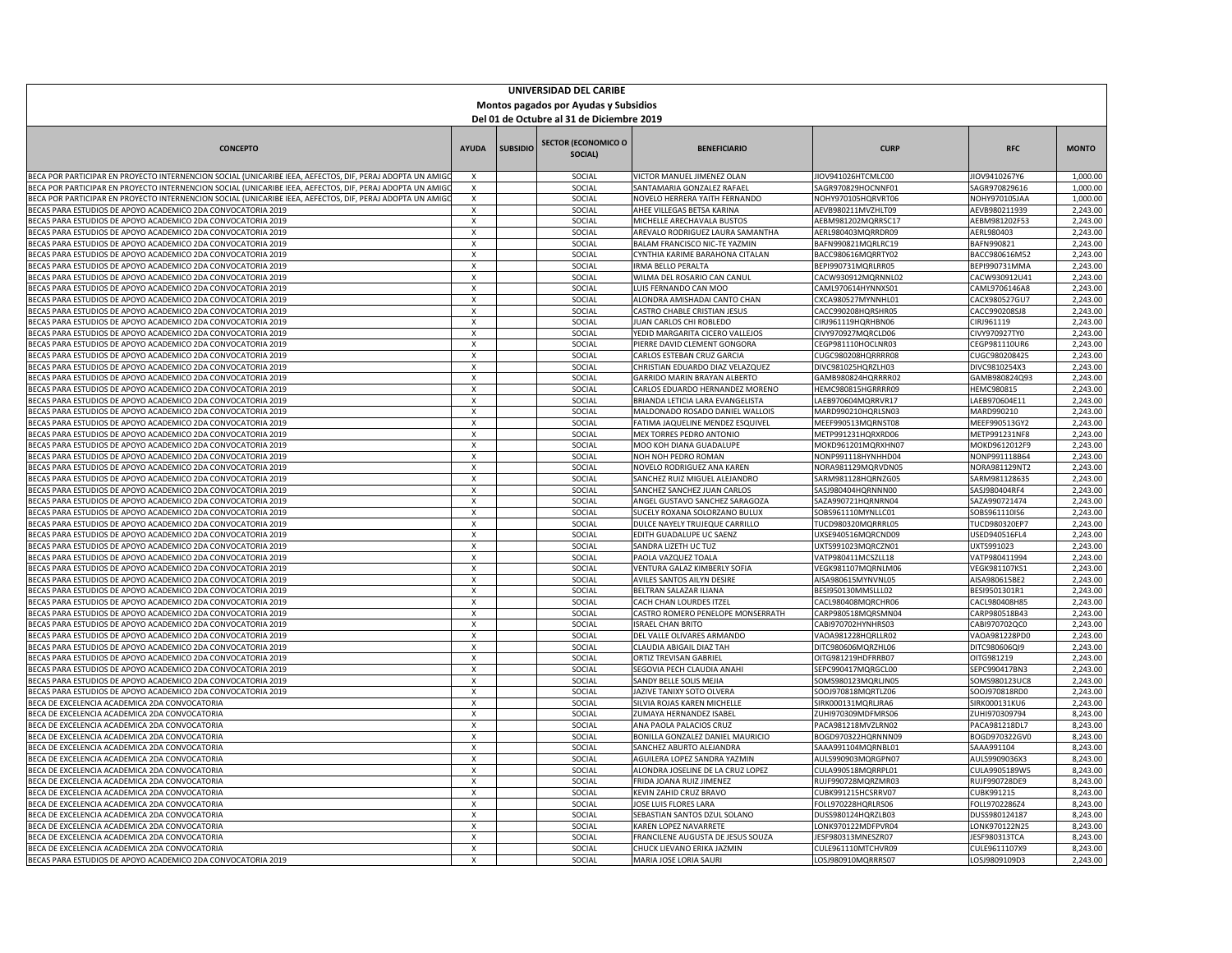| UNIVERSIDAD DEL CARIBE<br>Montos pagados por Ayudas y Subsidios                                                                                                           |                                       |                 |                                       |                                                                |                                          |                                |                      |  |  |
|---------------------------------------------------------------------------------------------------------------------------------------------------------------------------|---------------------------------------|-----------------|---------------------------------------|----------------------------------------------------------------|------------------------------------------|--------------------------------|----------------------|--|--|
| Del 01 de Octubre al 31 de Diciembre 2019                                                                                                                                 |                                       |                 |                                       |                                                                |                                          |                                |                      |  |  |
| <b>CONCEPTO</b>                                                                                                                                                           | <b>AYUDA</b>                          | <b>SUBSIDIO</b> | <b>SECTOR (ECONOMICO O</b><br>SOCIAL) | <b>BENEFICIARIO</b>                                            | <b>CURP</b>                              | <b>RFC</b>                     | <b>MONTO</b>         |  |  |
| BECA POR PARTICIPAR EN PROYECTO INTERNENCION SOCIAL (UNICARIBE IEEA, AEFECTOS, DIF, PERAJ ADOPTA UN AMIG                                                                  | $\pmb{\chi}$                          |                 | SOCIAL                                | VICTOR MANUEL JIMENEZ OLAN                                     | JIOV941026HTCMLC00                       | JIOV9410267Y6                  | 1,000.00             |  |  |
| BECA POR PARTICIPAR EN PROYECTO INTERNENCION SOCIAL (UNICARIBE IEEA, AEFECTOS, DIF, PERAJ ADOPTA UN AMIGO                                                                 | X                                     |                 | SOCIAL                                | SANTAMARIA GONZALEZ RAFAEL                                     | SAGR970829HOCNNF01                       | SAGR970829616                  | 1,000.00             |  |  |
| BECA POR PARTICIPAR EN PROYECTO INTERNENCION SOCIAL (UNICARIBE IEEA, AEFECTOS, DIF, PERAJ ADOPTA UN AMIGO<br>BECAS PARA ESTUDIOS DE APOYO ACADEMICO 2DA CONVOCATORIA 2019 | X<br>X                                |                 | SOCIAL<br>SOCIAL                      | NOVELO HERRERA YAITH FERNANDO<br>AHEE VILLEGAS BETSA KARINA    | NOHY970105HQRVRT06<br>AEVB980211MVZHLT09 | NOHY970105JAA<br>AEVB980211939 | 1,000.00<br>2,243.00 |  |  |
| BECAS PARA ESTUDIOS DE APOYO ACADEMICO 2DA CONVOCATORIA 2019                                                                                                              | x                                     |                 | SOCIAL                                | MICHELLE ARECHAVALA BUSTOS                                     | AEBM981202MQRRSC17                       | AEBM981202F53                  | 2,243.00             |  |  |
| BECAS PARA ESTUDIOS DE APOYO ACADEMICO 2DA CONVOCATORIA 2019                                                                                                              | х                                     |                 | SOCIAL                                | AREVALO RODRIGUEZ LAURA SAMANTHA                               | AERL980403MQRRDR09                       | AERL980403                     | 2,243.00             |  |  |
| BECAS PARA ESTUDIOS DE APOYO ACADEMICO 2DA CONVOCATORIA 2019                                                                                                              | X                                     |                 | SOCIAL                                | BALAM FRANCISCO NIC-TE YAZMIN                                  | BAFN990821MQRLRC19                       | BAFN990821                     | 2,243.00             |  |  |
| BECAS PARA ESTUDIOS DE APOYO ACADEMICO 2DA CONVOCATORIA 2019                                                                                                              | $\overline{\mathbf{x}}$               |                 | SOCIAL                                | CYNTHIA KARIME BARAHONA CITALAN                                | BACC980616MQRRTY02                       | BACC980616M52                  | 2,243.00             |  |  |
| BECAS PARA ESTUDIOS DE APOYO ACADEMICO 2DA CONVOCATORIA 2019<br>BECAS PARA ESTUDIOS DE APOYO ACADEMICO 2DA CONVOCATORIA 2019                                              | X<br>X                                |                 | SOCIAL<br>SOCIAL                      | IRMA BELLO PERALTA                                             | BEPI990731MQRLRR05<br>CACW930912MQRNNL02 | BEPI990731MMA<br>CACW930912U41 | 2,243.00<br>2,243.00 |  |  |
| BECAS PARA ESTUDIOS DE APOYO ACADEMICO 2DA CONVOCATORIA 2019                                                                                                              | X                                     |                 | SOCIAL                                | WILMA DEL ROSARIO CAN CANUL<br>UIS FERNANDO CAN MOO            | CAML970614HYNNXS01                       | CAML9706146A8                  | 2,243.00             |  |  |
| BECAS PARA ESTUDIOS DE APOYO ACADEMICO 2DA CONVOCATORIA 2019                                                                                                              | X                                     |                 | SOCIAL                                | ALONDRA AMISHADAI CANTO CHAN                                   | CXCA980527MYNNHL01                       | CACX980527GU7                  | 2,243.00             |  |  |
| BECAS PARA ESTUDIOS DE APOYO ACADEMICO 2DA CONVOCATORIA 2019                                                                                                              | Х                                     |                 | SOCIAL                                | CASTRO CHABLE CRISTIAN JESUS                                   | CACC990208HQRSHR05                       | CACC990208SJ8                  | 2,243.00             |  |  |
| BECAS PARA ESTUDIOS DE APOYO ACADEMICO 2DA CONVOCATORIA 2019                                                                                                              | $\boldsymbol{\mathsf{x}}$             |                 | SOCIAL                                | JUAN CARLOS CHI ROBLEDO                                        | CIRJ961119HQRHBN06                       | CIRJ961119                     | 2,243.00             |  |  |
| BECAS PARA ESTUDIOS DE APOYO ACADEMICO 2DA CONVOCATORIA 2019                                                                                                              | X                                     |                 | SOCIAL                                | YEDID MARGARITA CICERO VALLEJOS                                | CIVY970927MQRCLD06                       | CIVY970927TY0                  | 2,243.00             |  |  |
| BECAS PARA ESTUDIOS DE APOYO ACADEMICO 2DA CONVOCATORIA 2019                                                                                                              | $\overline{X}$                        |                 | SOCIAL                                | PIERRE DAVID CLEMENT GONGORA                                   | CEGP981110HOCLNR03                       | CEGP981110UR6                  | 2,243.00             |  |  |
| BECAS PARA ESTUDIOS DE APOYO ACADEMICO 2DA CONVOCATORIA 2019<br>BECAS PARA ESTUDIOS DE APOYO ACADEMICO 2DA CONVOCATORIA 2019                                              | X<br>X                                |                 | SOCIAL<br>SOCIAL                      | CARLOS ESTEBAN CRUZ GARCIA<br>CHRISTIAN EDUARDO DIAZ VELAZQUEZ | CUGC980208HQRRRR08<br>DIVC981025HQRZLH03 | CUGC980208425<br>DIVC9810254X3 | 2,243.00<br>2,243.00 |  |  |
| BECAS PARA ESTUDIOS DE APOYO ACADEMICO 2DA CONVOCATORIA 2019                                                                                                              | X                                     |                 | SOCIAL                                | <b>GARRIDO MARIN BRAYAN ALBERTO</b>                            | GAMB980824HQRRRR02                       | GAMB980824Q93                  | 2,243.00             |  |  |
| BECAS PARA ESTUDIOS DE APOYO ACADEMICO 2DA CONVOCATORIA 2019                                                                                                              | X                                     |                 | SOCIAL                                | CARLOS EDUARDO HERNANDEZ MORENO                                | HEMC980815HGRRRR09                       | <b>HEMC980815</b>              | 2,243.00             |  |  |
| BECAS PARA ESTUDIOS DE APOYO ACADEMICO 2DA CONVOCATORIA 2019                                                                                                              | X                                     |                 | SOCIAL                                | BRIANDA LETICIA LARA EVANGELISTA                               | LAEB970604MQRRVR17                       | LAEB970604E11                  | 2,243.00             |  |  |
| BECAS PARA ESTUDIOS DE APOYO ACADEMICO 2DA CONVOCATORIA 2019                                                                                                              | х                                     |                 | SOCIAL                                | MALDONADO ROSADO DANIEL WALLOIS                                | MARD990210HQRLSN03                       | MARD990210                     | 2,243.00             |  |  |
| BECAS PARA ESTUDIOS DE APOYO ACADEMICO 2DA CONVOCATORIA 2019                                                                                                              | X                                     |                 | SOCIAL                                | FATIMA JAQUELINE MENDEZ ESQUIVEL                               | MEEF990513MQRNST08                       | MEEF990513GY2                  | 2,243.00             |  |  |
| BECAS PARA ESTUDIOS DE APOYO ACADEMICO 2DA CONVOCATORIA 2019                                                                                                              | $\overline{X}$                        |                 | SOCIAL                                | MEX TORRES PEDRO ANTONIO                                       | METP991231HQRXRD06                       | METP991231NF8                  | 2,243.00             |  |  |
| BECAS PARA ESTUDIOS DE APOYO ACADEMICO 2DA CONVOCATORIA 2019<br>BECAS PARA ESTUDIOS DE APOYO ACADEMICO 2DA CONVOCATORIA 2019                                              | X<br>X                                |                 | SOCIAL<br>SOCIAL                      | MOO KOH DIANA GUADALUPE<br><b>VOH NOH PEDRO ROMAN</b>          | MOKD961201MQRXHN07<br>ONP991118HYNHHD04  | MOKD9612012F9<br>NONP991118B64 | 2,243.00<br>2,243.00 |  |  |
| BECAS PARA ESTUDIOS DE APOYO ACADEMICO 2DA CONVOCATORIA 2019                                                                                                              | X                                     |                 | SOCIAL                                | NOVELO RODRIGUEZ ANA KAREN                                     | NORA981129MQRVDN05                       | NORA981129NT2                  | 2,243.00             |  |  |
| BECAS PARA ESTUDIOS DE APOYO ACADEMICO 2DA CONVOCATORIA 2019                                                                                                              | х                                     |                 | SOCIAL                                | SANCHEZ RUIZ MIGUEL ALEJANDRO                                  | SARM981128HQRNZG05                       | SARM981128635                  | 2,243.00             |  |  |
| BECAS PARA ESTUDIOS DE APOYO ACADEMICO 2DA CONVOCATORIA 2019                                                                                                              | $\times$                              |                 | SOCIAL                                | SANCHEZ SANCHEZ JUAN CARLOS                                    | SASJ980404HQRNNN00                       | SASJ980404RF4                  | 2,243.00             |  |  |
| BECAS PARA ESTUDIOS DE APOYO ACADEMICO 2DA CONVOCATORIA 2019                                                                                                              | $\boldsymbol{\mathsf{x}}$             |                 | SOCIAL                                | ANGEL GUSTAVO SANCHEZ SARAGOZA                                 | SAZA990721HQRNRN04                       | SAZA990721474                  | 2,243.00             |  |  |
| BECAS PARA ESTUDIOS DE APOYO ACADEMICO 2DA CONVOCATORIA 2019                                                                                                              | $\pmb{\chi}$                          |                 | SOCIAL                                | SUCELY ROXANA SOLORZANO BULUX                                  | OBS961110MYNLLC01                        | SOBS961110IS6                  | 2,243.00             |  |  |
| BECAS PARA ESTUDIOS DE APOYO ACADEMICO 2DA CONVOCATORIA 2019<br>BECAS PARA ESTUDIOS DE APOYO ACADEMICO 2DA CONVOCATORIA 2019                                              | $\pmb{\mathsf{x}}$<br>X               |                 | SOCIAL<br>SOCIAL                      | DULCE NAYELY TRUJEQUE CARRILLO<br>EDITH GUADALUPE UC SAENZ     | TUCD980320MQRRRL05<br>UXSE940516MQRCND09 | TUCD980320EP7<br>USED940516FL4 | 2,243.00<br>2,243.00 |  |  |
| BECAS PARA ESTUDIOS DE APOYO ACADEMICO 2DA CONVOCATORIA 2019                                                                                                              | x                                     |                 | SOCIAL                                | SANDRA LIZETH UC TUZ                                           | JXTS991023MQRCZN01                       | UXTS991023                     | 2,243.00             |  |  |
| BECAS PARA ESTUDIOS DE APOYO ACADEMICO 2DA CONVOCATORIA 2019                                                                                                              | X                                     |                 | SOCIAL                                | PAOLA VAZQUEZ TOALA                                            | VATP980411MCSZLL18                       | VATP980411994                  | 2,243.00             |  |  |
| BECAS PARA ESTUDIOS DE APOYO ACADEMICO 2DA CONVOCATORIA 2019                                                                                                              | X                                     |                 | SOCIAL                                | VENTURA GALAZ KIMBERLY SOFIA                                   | VEGK981107MQRNLM06                       | VEGK981107KS1                  | 2,243.00             |  |  |
| BECAS PARA ESTUDIOS DE APOYO ACADEMICO 2DA CONVOCATORIA 2019                                                                                                              | $\boldsymbol{\mathsf{x}}$             |                 | SOCIAL                                | AVILES SANTOS AILYN DESIRE                                     | AISA980615MYNVNL05                       | AISA980615BE2                  | 2,243.00             |  |  |
| BECAS PARA ESTUDIOS DE APOYO ACADEMICO 2DA CONVOCATORIA 2019                                                                                                              | X                                     |                 | SOCIAL                                | BELTRAN SALAZAR ILIANA                                         | BESI950130MMSLLL02                       | BESI9501301R1                  | 2,243.00             |  |  |
| BECAS PARA ESTUDIOS DE APOYO ACADEMICO 2DA CONVOCATORIA 2019<br>BECAS PARA ESTUDIOS DE APOYO ACADEMICO 2DA CONVOCATORIA 2019                                              | $\overline{\mathbf{x}}$<br>X          |                 | SOCIAL<br>SOCIAL                      | CACH CHAN LOURDES ITZEL<br>CASTRO ROMERO PENELOPE MONSERRATH   | CACL980408MQRCHR06<br>CARP980518MQRSMN04 | CACL980408H85<br>CARP980518B43 | 2,243.00<br>2,243.00 |  |  |
| BECAS PARA ESTUDIOS DE APOYO ACADEMICO 2DA CONVOCATORIA 2019                                                                                                              | X                                     |                 | SOCIAL                                | SRAFL CHAN BRITO                                               | ABI970702HYNHRS03                        | CABI970702QC0                  | 2,243.00             |  |  |
| BECAS PARA ESTUDIOS DE APOYO ACADEMICO 2DA CONVOCATORIA 2019                                                                                                              | $\mathsf{x}$                          |                 | SOCIAL                                | <b>DEL VALLE OLIVARES ARMANDO</b>                              | /AOA981228HORLLR02                       | VAOA981228PD0                  | 2.243.00             |  |  |
| BECAS PARA ESTUDIOS DE APOYO ACADEMICO 2DA CONVOCATORIA 2019                                                                                                              | x                                     |                 | SOCIAL                                | CLAUDIA ABIGAIL DIAZ TAH                                       | DITC980606MQRZHL06                       | DITC980606QI9                  | 2,243.00             |  |  |
| BECAS PARA ESTUDIOS DE APOYO ACADEMICO 2DA CONVOCATORIA 2019                                                                                                              | X                                     |                 | SOCIAL                                | ORTIZ TREVISAN GABRIEL                                         | OITG981219HDFRRB07                       | OITG981219                     | 2,243.00             |  |  |
| BECAS PARA ESTUDIOS DE APOYO ACADEMICO 2DA CONVOCATORIA 2019                                                                                                              | $\times$                              |                 | SOCIAL                                | SEGOVIA PECH CLAUDIA ANAHI                                     | SEPC990417MQRGCL00                       | SEPC990417BN3                  | 2,243.00             |  |  |
| BECAS PARA ESTUDIOS DE APOYO ACADEMICO 2DA CONVOCATORIA 2019<br>BECAS PARA ESTUDIOS DE APOYO ACADEMICO 2DA CONVOCATORIA 2019                                              | $\mathsf{x}$<br>$\mathsf{x}$          |                 | SOCIAL<br>SOCIAL                      | SANDY BELLE SOLIS MEJIA<br>JAZIVE TANIXY SOTO OLVERA           | OMS980123MQRLJN05<br>600J970818MQRTLZ06  | SOMS980123UC8<br>SOOJ970818RD0 | 2,243.00<br>2,243.00 |  |  |
| BECA DE EXCELENCIA ACADEMICA 2DA CONVOCATORIA                                                                                                                             | X                                     |                 | SOCIAL                                | SILVIA ROJAS KAREN MICHELLE                                    | SIRK000131MQRLJRA6                       | SIRK000131KU6                  | 2,243.00             |  |  |
| BECA DE EXCELENCIA ACADEMICA 2DA CONVOCATORIA                                                                                                                             | X                                     |                 | SOCIAL                                | ZUMAYA HERNANDEZ ISABEL                                        | ZUHI970309MDFMRS06                       | ZUHI970309794                  | 8,243.00             |  |  |
| BECA DE EXCELENCIA ACADEMICA 2DA CONVOCATORIA                                                                                                                             | X                                     |                 | SOCIAL                                | ANA PAOLA PALACIOS CRUZ                                        | PACA981218MVZLRN02                       | PACA981218DL7                  | 8,243.00             |  |  |
| BECA DE EXCELENCIA ACADEMICA 2DA CONVOCATORIA                                                                                                                             | $\pmb{\mathsf{X}}$                    |                 | SOCIAL                                | BONILLA GONZALEZ DANIEL MAURICIO                               | BOGD970322HQRNNN09                       | BOGD970322GV0                  | 8,243.00             |  |  |
| BECA DE EXCELENCIA ACADEMICA 2DA CONVOCATORIA                                                                                                                             | х                                     |                 | SOCIAL                                | SANCHEZ ABURTO ALEJANDRA                                       | 6AAA991104MQRNBL01                       | SAAA991104                     | 8,243.00             |  |  |
| BECA DE EXCELENCIA ACADEMICA 2DA CONVOCATORIA                                                                                                                             | $\boldsymbol{\mathsf{x}}$<br>$\times$ |                 | SOCIAL<br>SOCIAL                      | AGUILERA LOPEZ SANDRA YAZMIN                                   | AULS990903MQRGPN07<br>CULA990518MQRRPL01 | AULS9909036X3                  | 8,243.00<br>8.243.00 |  |  |
| BECA DE EXCELENCIA ACADEMICA 2DA CONVOCATORIA<br>BECA DE EXCELENCIA ACADEMICA 2DA CONVOCATORIA                                                                            | $\overline{\mathbf{x}}$               |                 | SOCIAL                                | ALONDRA JOSELINE DE LA CRUZ LOPEZ<br>FRIDA JOANA RUIZ JIMENEZ  | RUJF990728MQRZMR03                       | CULA9905189W5<br>RUJF990728DE9 | 8,243.00             |  |  |
| BECA DE EXCELENCIA ACADEMICA 2DA CONVOCATORIA                                                                                                                             | X                                     |                 | SOCIAL                                | KEVIN ZAHID CRUZ BRAVO                                         | CUBK991215HCSRRV07                       | CUBK991215                     | 8,243.00             |  |  |
| BECA DE EXCELENCIA ACADEMICA 2DA CONVOCATORIA                                                                                                                             | X                                     |                 | SOCIAL                                | <b>IOSE LUIS FLORES LARA</b>                                   | OLL970228HQRLRS06                        | FOLL9702286Z4                  | 8,243.00             |  |  |
| BECA DE EXCELENCIA ACADEMICA 2DA CONVOCATORIA                                                                                                                             | X                                     |                 | SOCIAL                                | SEBASTIAN SANTOS DZUL SOLANO                                   | DUSS980124HQRZLB03                       | DUSS980124187                  | 8,243.00             |  |  |
| BECA DE EXCELENCIA ACADEMICA 2DA CONVOCATORIA                                                                                                                             | х                                     |                 | SOCIAL                                | KAREN LOPEZ NAVARRETE                                          | LONK970122MDFPVR04                       | LONK970122N25                  | 8,243.00             |  |  |
| BECA DE EXCELENCIA ACADEMICA 2DA CONVOCATORIA                                                                                                                             | X                                     |                 | SOCIAL                                | FRANCILENE AUGUSTA DE JESUS SOUZA                              | ESF980313MNESZR07                        | JESF980313TCA                  | 8,243.00             |  |  |
| BECA DE EXCELENCIA ACADEMICA 2DA CONVOCATORIA<br>BECAS PARA ESTUDIOS DE APOYO ACADEMICO 2DA CONVOCATORIA 2019                                                             | $\mathbf{x}$<br>$\mathsf{x}$          |                 | SOCIAL<br>SOCIAL                      | CHUCK LIEVANO ERIKA JAZMIN<br>MARIA JOSE LORIA SAURI           | CULE961110MTCHVR09<br>LOSJ980910MQRRRS07 | CULE9611107X9<br>LOSJ9809109D3 | 8,243.00<br>2,243.00 |  |  |
|                                                                                                                                                                           |                                       |                 |                                       |                                                                |                                          |                                |                      |  |  |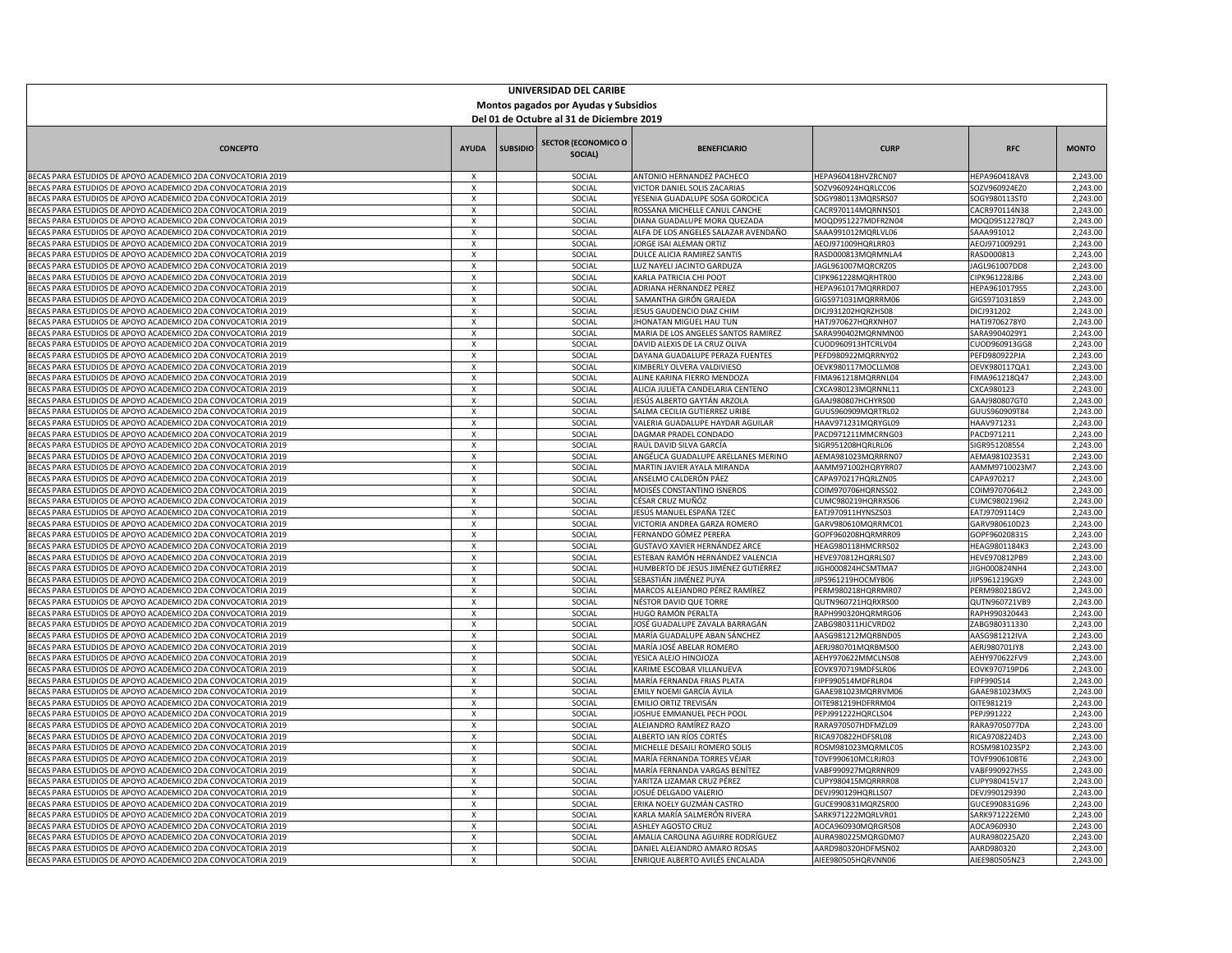| UNIVERSIDAD DEL CARIBE<br>Montos pagados por Ayudas y Subsidios                                                              |                           |                 |                                       |                                                                         |                                          |                                |                      |  |  |
|------------------------------------------------------------------------------------------------------------------------------|---------------------------|-----------------|---------------------------------------|-------------------------------------------------------------------------|------------------------------------------|--------------------------------|----------------------|--|--|
| Del 01 de Octubre al 31 de Diciembre 2019                                                                                    |                           |                 |                                       |                                                                         |                                          |                                |                      |  |  |
| <b>CONCEPTO</b>                                                                                                              | <b>AYUDA</b>              | <b>SUBSIDIO</b> | <b>SECTOR (ECONOMICO O</b><br>SOCIAL) | <b>BENEFICIARIO</b>                                                     | <b>CURP</b>                              | <b>RFC</b>                     | <b>MONTO</b>         |  |  |
| BECAS PARA ESTUDIOS DE APOYO ACADEMICO 2DA CONVOCATORIA 2019                                                                 | X                         |                 | SOCIAL                                | ANTONIO HERNANDEZ PACHECO                                               | HEPA960418HVZRCN07                       | HEPA960418AV8                  | 2,243.00             |  |  |
| BECAS PARA ESTUDIOS DE APOYO ACADEMICO 2DA CONVOCATORIA 2019                                                                 | x                         |                 | SOCIAL                                | VICTOR DANIEL SOLIS ZACARIAS                                            | SOZV960924HQRLCC06                       | SOZV960924EZ0                  | 2,243.00             |  |  |
| BECAS PARA ESTUDIOS DE APOYO ACADEMICO 2DA CONVOCATORIA 2019                                                                 | x                         |                 | SOCIAL                                | YESENIA GUADALUPE SOSA GOROCICA                                         | SOGY980113MQRSRS07                       | SOGY980113ST0                  | 2,243.00<br>2,243.00 |  |  |
| BECAS PARA ESTUDIOS DE APOYO ACADEMICO 2DA CONVOCATORIA 2019<br>BECAS PARA ESTUDIOS DE APOYO ACADEMICO 2DA CONVOCATORIA 2019 | X<br>x                    |                 | SOCIAL<br>SOCIAL                      | ROSSANA MICHELLE CANUL CANCHE<br>DIANA GUADALUPE MORA QUEZADA           | CACR970114MQRNNS01<br>MOOD951227MDFRZN04 | CACR970114N38<br>MOQD9512278Q7 | 2,243.00             |  |  |
| BECAS PARA ESTUDIOS DE APOYO ACADEMICO 2DA CONVOCATORIA 2019                                                                 | X                         |                 | SOCIAL                                | ALFA DE LOS ANGELES SALAZAR AVENDAÑO                                    | SAAA991012MQRLVL06                       | SAAA991012                     | 2,243.00             |  |  |
| BECAS PARA ESTUDIOS DE APOYO ACADEMICO 2DA CONVOCATORIA 2019                                                                 | $\overline{\mathbf{x}}$   |                 | SOCIAL                                | JORGE ISAI ALEMAN ORTIZ                                                 | AEOJ971009HQRLRR03                       | AEOJ971009291                  | 2,243.00             |  |  |
| BECAS PARA ESTUDIOS DE APOYO ACADEMICO 2DA CONVOCATORIA 2019                                                                 | X                         |                 | SOCIAL                                | DULCE ALICIA RAMIREZ SANTIS                                             | RASD000813MQRMNLA4                       | RASD000813                     | 2,243.00             |  |  |
| BECAS PARA ESTUDIOS DE APOYO ACADEMICO 2DA CONVOCATORIA 2019                                                                 | X                         |                 | SOCIAL                                | UZ NAYELI JACINTO GARDUZA                                               | AGL961007MQRCRZ05                        | AGL961007DD8                   | 2,243.00             |  |  |
| BECAS PARA ESTUDIOS DE APOYO ACADEMICO 2DA CONVOCATORIA 2019                                                                 | X                         |                 | SOCIAL                                | <b>ARLA PATRICIA CHI POOT</b>                                           | IPK961228MQRHTR00                        | CIPK961228JB6                  | 2,243.00             |  |  |
| BECAS PARA ESTUDIOS DE APOYO ACADEMICO 2DA CONVOCATORIA 2019<br>BECAS PARA ESTUDIOS DE APOYO ACADEMICO 2DA CONVOCATORIA 2019 | X<br>X                    |                 | SOCIAL<br>SOCIAL                      | ADRIANA HERNANDEZ PEREZ<br>SAMANTHA GIRÓN GRAJEDA                       | IEPA961017MQRRRD07<br>GIGS971031MQRRRM06 | HEPA9610179S5<br>GIGS9710318S9 | 2,243.00<br>2,243.00 |  |  |
| BECAS PARA ESTUDIOS DE APOYO ACADEMICO 2DA CONVOCATORIA 2019                                                                 | $\boldsymbol{\mathsf{x}}$ |                 | SOCIAL                                | <b>IESUS GAUDENCIO DIAZ CHIM</b>                                        | DICJ931202HQRZHS08                       | DICJ931202                     | 2,243.00             |  |  |
| BECAS PARA ESTUDIOS DE APOYO ACADEMICO 2DA CONVOCATORIA 2019                                                                 | X                         |                 | SOCIAL                                | <b>HONATAN MIGUEL HAU TUN</b>                                           | HATJ970627HQRXNH07                       | HATJ9706278Y0                  | 2,243.00             |  |  |
| BECAS PARA ESTUDIOS DE APOYO ACADEMICO 2DA CONVOCATORIA 2019                                                                 | $\overline{x}$            |                 | SOCIAL                                | MARIA DE LOS ANGELES SANTOS RAMIREZ                                     | SARA990402MQRNMN00                       | SARA9904029Y1                  | 2,243.00             |  |  |
| BECAS PARA ESTUDIOS DE APOYO ACADEMICO 2DA CONVOCATORIA 2019                                                                 | $\pmb{\chi}$              |                 | SOCIAL                                | DAVID ALEXIS DE LA CRUZ OLIVA                                           | CUOD960913HTCRLV04                       | CUOD960913GG8                  | 2,243.00             |  |  |
| BECAS PARA ESTUDIOS DE APOYO ACADEMICO 2DA CONVOCATORIA 2019                                                                 | x                         |                 | SOCIAL                                | DAYANA GUADALUPE PERAZA FUENTES                                         | PEFD980922MQRRNY02                       | PEFD980922PJA                  | 2,243.00             |  |  |
| BECAS PARA ESTUDIOS DE APOYO ACADEMICO 2DA CONVOCATORIA 2019<br>BECAS PARA ESTUDIOS DE APOYO ACADEMICO 2DA CONVOCATORIA 2019 | x<br>X                    |                 | SOCIAL<br>SOCIAL                      | KIMBERLY OLVERA VALDIVIESO<br>ALINE KARINA FIERRO MENDOZA               | DEVK980117MOCLLM08<br>IMA961218MQRRNL04  | OEVK980117QA1<br>FIMA961218Q47 | 2,243.00<br>2,243.00 |  |  |
| BECAS PARA ESTUDIOS DE APOYO ACADEMICO 2DA CONVOCATORIA 2019                                                                 | X                         |                 | SOCIAL                                | ALICIA JULIETA CANDELARIA CENTENO                                       | CXCA980123MQRNNL11                       | CXCA980123                     | 2,243.00             |  |  |
| BECAS PARA ESTUDIOS DE APOYO ACADEMICO 2DA CONVOCATORIA 2019                                                                 | X                         |                 | SOCIAL                                | JESÚS ALBERTO GAYTÁN ARZOLA                                             | GAAJ980807HCHYRS00                       | GAAJ980807GTC                  | 2,243.00             |  |  |
| BECAS PARA ESTUDIOS DE APOYO ACADEMICO 2DA CONVOCATORIA 2019                                                                 | X                         |                 | SOCIAL                                | SALMA CECILIA GUTIERREZ URIBE                                           | GUUS960909MQRTRL02                       | GUUS960909T84                  | 2,243.00             |  |  |
| BECAS PARA ESTUDIOS DE APOYO ACADEMICO 2DA CONVOCATORIA 2019                                                                 | $\pmb{\chi}$              |                 | SOCIAL                                | VALERIA GUADALUPE HAYDAR AGUILAR                                        | HAAV971231MQRYGL09                       | HAAV971231                     | 2,243.00             |  |  |
| BECAS PARA ESTUDIOS DE APOYO ACADEMICO 2DA CONVOCATORIA 2019                                                                 | X                         |                 | SOCIAL                                | DAGMAR PRADEL CONDADO                                                   | PACD971211MMCRNG03                       | PACD971211                     | 2,243.00             |  |  |
| BECAS PARA ESTUDIOS DE APOYO ACADEMICO 2DA CONVOCATORIA 2019                                                                 | X                         |                 | SOCIAL                                | RAÚL DAVID SILVA GARCÍA                                                 | SIGR951208HQRLRL06                       | SIGR9512085S4                  | 2,243.00             |  |  |
| BECAS PARA ESTUDIOS DE APOYO ACADEMICO 2DA CONVOCATORIA 2019                                                                 | X                         |                 | SOCIAL                                | ANGÉLICA GUADALUPE ARELLANES MERINO                                     | AEMA981023MQRRRN07                       | AEMA981023531<br>AAMM9710023M7 | 2,243.00<br>2,243.00 |  |  |
| BECAS PARA ESTUDIOS DE APOYO ACADEMICO 2DA CONVOCATORIA 2019<br>BECAS PARA ESTUDIOS DE APOYO ACADEMICO 2DA CONVOCATORIA 2019 | X<br>X                    |                 | SOCIAL<br>SOCIAL                      | MARTIN JAVIER AYALA MIRANDA<br>ANSELMO CALDERÓN PÁEZ                    | AAMM971002HQRYRR07<br>CAPA970217HQRLZN05 | CAPA970217                     | 2,243.00             |  |  |
| BECAS PARA ESTUDIOS DE APOYO ACADEMICO 2DA CONVOCATORIA 2019                                                                 | X                         |                 | SOCIAL                                | MOISÉS CONSTANTINO ISNEROS                                              | COIM970706HQRNSS02                       | COIM9707064L2                  | 2,243.00             |  |  |
| BECAS PARA ESTUDIOS DE APOYO ACADEMICO 2DA CONVOCATORIA 2019                                                                 | $\mathsf{x}$              |                 | SOCIAL                                | CÉSAR CRUZ MUÑÓZ                                                        | UMC980219HQRRXS06                        | CUMC9802196I2                  | 2,243.00             |  |  |
| BECAS PARA ESTUDIOS DE APOYO ACADEMICO 2DA CONVOCATORIA 2019                                                                 | $\overline{\mathbf{x}}$   |                 | SOCIAL                                | JESÚS MANUEL ESPAÑA TZEC                                                | EATJ970911HYNSZS03                       | EATJ9709114C9                  | 2,243.00             |  |  |
| BECAS PARA ESTUDIOS DE APOYO ACADEMICO 2DA CONVOCATORIA 2019                                                                 | x                         |                 | SOCIAL                                | VICTORIA ANDREA GARZA ROMERO                                            | GARV980610MQRRMC01                       | GARV980610D23                  | 2,243.00             |  |  |
| BECAS PARA ESTUDIOS DE APOYO ACADEMICO 2DA CONVOCATORIA 2019                                                                 | X                         |                 | SOCIAL                                | FERNANDO GÓMEZ PERERA                                                   | GOPF960208HQRMRR09                       | GOPF960208315                  | 2,243.00             |  |  |
| BECAS PARA ESTUDIOS DE APOYO ACADEMICO 2DA CONVOCATORIA 2019                                                                 | X                         |                 | SOCIAL                                | GUSTAVO XAVIER HERNÁNDEZ ARCE                                           | HEAG980118HMCRRS02                       | HEAG9801184K3                  | 2,243.00<br>2,243.00 |  |  |
| BECAS PARA ESTUDIOS DE APOYO ACADEMICO 2DA CONVOCATORIA 2019<br>BECAS PARA ESTUDIOS DE APOYO ACADEMICO 2DA CONVOCATORIA 2019 | x<br>X                    |                 | SOCIAL<br>SOCIAL                      | ESTEBAN RAMÓN HERNÁNDEZ VALENCIA<br>HUMBERTO DE JESÚS JIMÉNEZ GUTIÉRREZ | HEVE970812HQRRLS07<br>JIGH000824HCSMTMA7 | HEVE970812PB9<br>JIGH000824NH4 | 2,243.00             |  |  |
| BECAS PARA ESTUDIOS DE APOYO ACADEMICO 2DA CONVOCATORIA 2019                                                                 | X                         |                 | SOCIAL                                | SEBASTIÁN JIMÉNEZ PUYA                                                  | IIPS961219HOCMYB06                       | IIPS961219GX9                  | 2,243.00             |  |  |
| BECAS PARA ESTUDIOS DE APOYO ACADEMICO 2DA CONVOCATORIA 2019                                                                 | X                         |                 | SOCIAL                                | MARCOS ALEJANDRO PÉREZ RAMÍREZ                                          | PERM980218HQRRMR07                       | PERM980218GV2                  | 2,243.00             |  |  |
| BECAS PARA ESTUDIOS DE APOYO ACADEMICO 2DA CONVOCATORIA 2019                                                                 | $\overline{X}$            |                 | SOCIAL                                | NÉSTOR DAVID QUE TORRE                                                  | QUTN960721HQRXRS00                       | QUTN960721VB9                  | 2,243.00             |  |  |
| BECAS PARA ESTUDIOS DE APOYO ACADEMICO 2DA CONVOCATORIA 2019                                                                 | X                         |                 | SOCIAL                                | HUGO RAMÓN PERALTA                                                      | RAPH990320HQRMRG06                       | RAPH990320443                  | 2,243.00             |  |  |
| BECAS PARA ESTUDIOS DE APOYO ACADEMICO 2DA CONVOCATORIA 2019                                                                 | X                         |                 | SOCIAL                                | OSÉ GUADALUPE ZAVALA BARRAGÁN                                           | ABG980311HJCVRD02                        | ZABG980311330                  | 2,243.00             |  |  |
| BECAS PARA ESTUDIOS DE APOYO ACADEMICO 2DA CONVOCATORIA 2019<br>BECAS PARA ESTUDIOS DE APOYO ACADEMICO 2DA CONVOCATORIA 2019 | X<br>x                    |                 | SOCIAL                                | MARÍA GUADALUPE ABAN SÁNCHEZ<br>MARÍA JOSÉ ABELAR ROMERO                | AASG981212MQRBND05<br>AERJ980701MQRBMS00 | AASG981212IVA<br>AERJ980701JY8 | 2,243.00<br>2,243.00 |  |  |
| BECAS PARA ESTUDIOS DE APOYO ACADEMICO 2DA CONVOCATORIA 2019                                                                 | X                         |                 | SOCIAL<br>SOCIAL                      | YESICA ALEJO HINOJOZA                                                   | AEHY970622MMCLNS08                       | AEHY970622FV9                  | 2,243.00             |  |  |
| BECAS PARA ESTUDIOS DE APOYO ACADEMICO 2DA CONVOCATORIA 2019                                                                 | $\mathsf{x}$              |                 | SOCIAL                                | KARIME ESCOBAR VILLANUEVA                                               | EOVK970719MDFSLR06                       | EOVK970719PD6                  | 2,243.00             |  |  |
| BECAS PARA ESTUDIOS DE APOYO ACADEMICO 2DA CONVOCATORIA 2019                                                                 | X                         |                 | SOCIAL                                | MARÍA FERNANDA FRIAS PLATA                                              | IPF990514MDFRLR04                        | FIPF990514                     | 2,243.00             |  |  |
| BECAS PARA ESTUDIOS DE APOYO ACADEMICO 2DA CONVOCATORIA 2019                                                                 | $\mathsf{x}$              |                 | SOCIAL                                | EMILY NOEMI GARCÍA ÁVILA                                                | GAAE981023MQRRVM06                       | GAAE981023MX5                  | 2,243.00             |  |  |
| BECAS PARA ESTUDIOS DE APOYO ACADEMICO 2DA CONVOCATORIA 2019                                                                 | X                         |                 | SOCIAL                                | EMILIO ORTIZ TREVISÁN                                                   | OITE981219HDFRRM04                       | OITE981219                     | 2,243.00             |  |  |
| BECAS PARA ESTUDIOS DE APOYO ACADEMICO 2DA CONVOCATORIA 2019                                                                 | X                         |                 | SOCIAL                                | OSHUE EMMANUEL PECH POOL                                                | PEPJ991222HQRCLS04                       | PEPJ991222                     | 2,243.00             |  |  |
| BECAS PARA ESTUDIOS DE APOYO ACADEMICO 2DA CONVOCATORIA 2019                                                                 | x                         |                 | SOCIAL                                | ALEJANDRO RAMÍREZ RAZO                                                  | RARA970507HDFMZL09<br>RICA970822HDFSRL08 | RARA9705077DA                  | 2,243.00<br>2,243.00 |  |  |
| BECAS PARA ESTUDIOS DE APOYO ACADEMICO 2DA CONVOCATORIA 2019<br>BECAS PARA ESTUDIOS DE APOYO ACADEMICO 2DA CONVOCATORIA 2019 | X<br>X                    |                 | SOCIAL<br>SOCIAL                      | ALBERTO IAN RÍOS CORTÉS<br>MICHELLE DESAILI ROMERO SOLIS                | ROSM981023MQRMLC05                       | RICA9708224D3<br>ROSM981023SP2 | 2,243.00             |  |  |
| BECAS PARA ESTUDIOS DE APOYO ACADEMICO 2DA CONVOCATORIA 2019                                                                 | X                         |                 | SOCIAL                                | MARÍA FERNANDA TORRES VÉJAR                                             | TOVF990610MCLRJR03                       | TOVF990610BT6                  | 2,243.00             |  |  |
| BECAS PARA ESTUDIOS DE APOYO ACADEMICO 2DA CONVOCATORIA 2019                                                                 | X                         |                 | SOCIAL                                | MARÍA FERNANDA VARGAS BENÍTEZ                                           | /ABF990927MQRRNR09                       | VABF990927HS5                  | 2,243.00             |  |  |
| BECAS PARA ESTUDIOS DE APOYO ACADEMICO 2DA CONVOCATORIA 2019                                                                 | $\overline{X}$            |                 | SOCIAL                                | YARITZA LIZAMAR CRUZ PÉREZ                                              | CUPY980415MQRRRR08                       | CUPY980415V17                  | 2,243.00             |  |  |
| BECAS PARA ESTUDIOS DE APOYO ACADEMICO 2DA CONVOCATORIA 2019                                                                 | X                         |                 | SOCIAL                                | JOSUÉ DELGADO VALERIC                                                   | EVJ990129HQRLLS07                        | DEVJ990129390                  | 2,243.00             |  |  |
| BECAS PARA ESTUDIOS DE APOYO ACADEMICO 2DA CONVOCATORIA 2019                                                                 | X                         |                 | SOCIAL                                | ERIKA NOELY GUZMÁN CASTRO                                               | GUCE990831MQRZSR00                       | GUCE990831G96                  | 2,243.00             |  |  |
| BECAS PARA ESTUDIOS DE APOYO ACADEMICO 2DA CONVOCATORIA 2019<br>BECAS PARA ESTUDIOS DE APOYO ACADEMICO 2DA CONVOCATORIA 2019 | X<br>X                    |                 | SOCIAL                                | KARLA MARÍA SALMERÓN RIVERA<br>ASHLEY AGOSTO CRUZ                       | SARK971222MORLVR01<br>AOCA960930MQRGRS08 | SARK971222EM0<br>AOCA960930    | 2,243.00<br>2,243.00 |  |  |
| BECAS PARA ESTUDIOS DE APOYO ACADEMICO 2DA CONVOCATORIA 2019                                                                 | X                         |                 | SOCIAL<br>SOCIAL                      | AMALIA CAROLINA AGUIRRE RODRÍGUEZ                                       | AURA980225MQRGDM07                       | AURA980225AZ0                  | 2,243.00             |  |  |
| BECAS PARA ESTUDIOS DE APOYO ACADEMICO 2DA CONVOCATORIA 2019                                                                 | $\mathbf{x}$              |                 | SOCIAL                                | DANIEL ALEJANDRO AMARO ROSAS                                            | AARD980320HDFMSN02                       | AARD980320                     | 2,243.00             |  |  |
| BECAS PARA ESTUDIOS DE APOYO ACADEMICO 2DA CONVOCATORIA 2019                                                                 | $\mathsf{x}$              |                 | SOCIAL                                | ENRIQUE ALBERTO AVILÉS ENCALADA                                         | AIEE980505HQRVNN06                       | AIEE980505NZ3                  | 2,243.00             |  |  |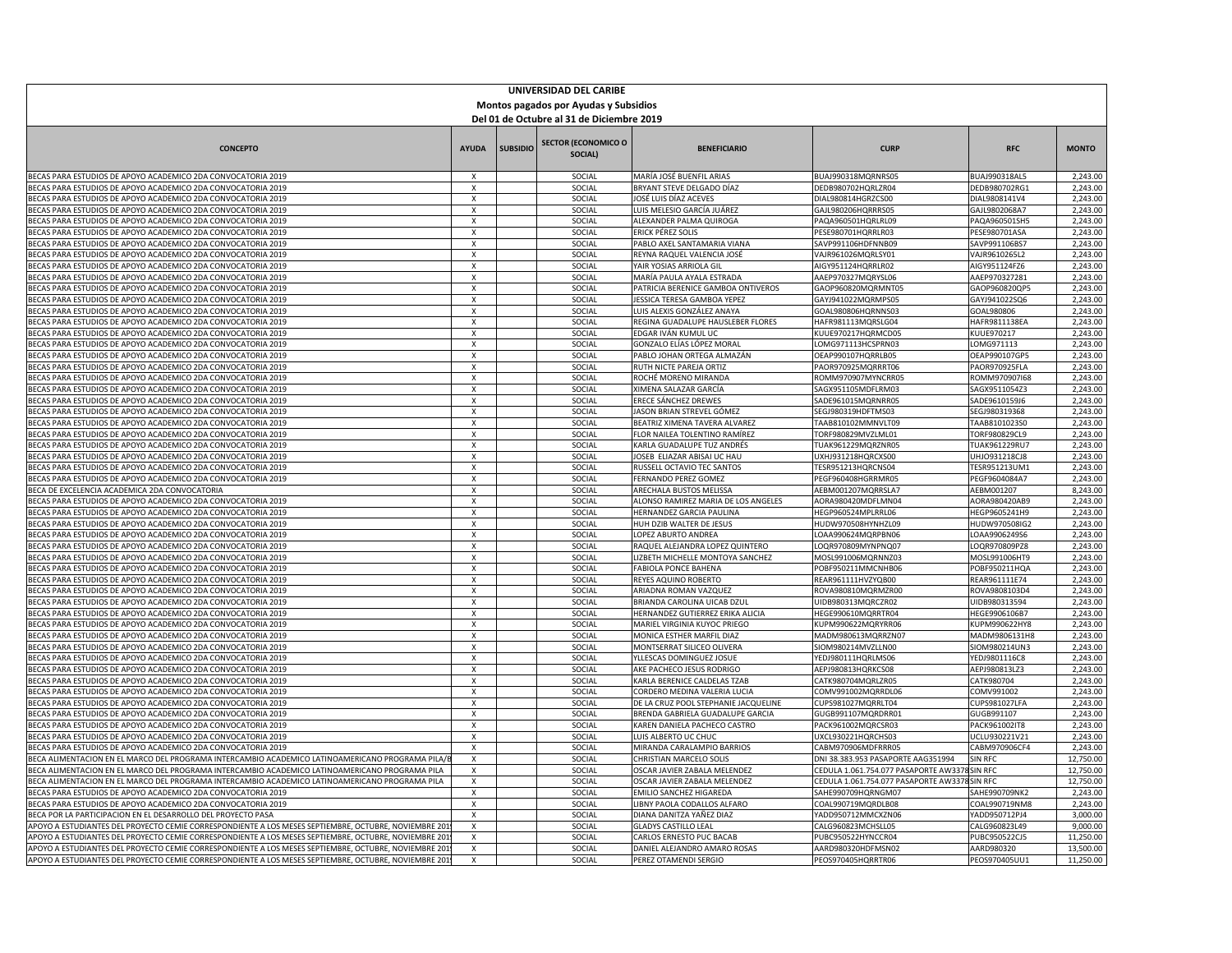| Del 01 de Octubre al 31 de Diciembre 2019<br><b>SECTOR (ECONOMICO O</b><br><b>SUBSIDIO</b><br><b>CONCEPTO</b><br><b>AYUDA</b><br><b>BENEFICIARIO</b><br><b>CURP</b><br><b>RFC</b><br><b>MONTO</b><br>SOCIAL)<br>MARÍA JOSÉ BUENFIL ARIAS<br>2,243.00<br>BECAS PARA ESTUDIOS DE APOYO ACADEMICO 2DA CONVOCATORIA 2019<br>X<br>SOCIAL<br>BUAJ990318MQRNRS05<br>BUAJ990318AL5<br>X<br>BRYANT STEVE DELGADO DÍAZ<br>DEDB980702RG1<br>2,243.00<br>BECAS PARA ESTUDIOS DE APOYO ACADEMICO 2DA CONVOCATORIA 2019<br>SOCIAL<br>DEDB980702HQRLZR04<br>2,243.00<br>BECAS PARA ESTUDIOS DE APOYO ACADEMICO 2DA CONVOCATORIA 2019<br>X<br>SOCIAL<br>JOSÉ LUIS DÍAZ ACEVES<br>DIAL980814HGRZCS00<br>DIAL9808141V4<br>2,243.00<br>BECAS PARA ESTUDIOS DE APOYO ACADEMICO 2DA CONVOCATORIA 2019<br>X<br>SOCIAL<br>LUIS MELESIO GARCÍA JUÁREZ<br>GAJL980206HQRRRS05<br>GAJL9802068A7<br>BECAS PARA ESTUDIOS DE APOYO ACADEMICO 2DA CONVOCATORIA 2019<br>SOCIAL<br>ALEXANDER PALMA QUIROGA<br>PAQA960501HQRLRL09<br>PAQA960501SH5<br>2,243.00<br>x<br>BECAS PARA ESTUDIOS DE APOYO ACADEMICO 2DA CONVOCATORIA 2019<br>x<br>SOCIAL<br>ERICK PÉREZ SOLIS<br>PESE980701HQRRLR03<br>PESE980701ASA<br>2,243.00<br>$\overline{X}$<br>2,243.00<br>BECAS PARA ESTUDIOS DE APOYO ACADEMICO 2DA CONVOCATORIA 2019<br>SOCIAL<br>PABLO AXEL SANTAMARIA VIANA<br>SAVP991106HDFNNB09<br>SAVP991106BS7<br>2,243.00<br>BECAS PARA ESTUDIOS DE APOYO ACADEMICO 2DA CONVOCATORIA 2019<br>X<br>SOCIAL<br>REYNA RAQUEL VALENCIA JOSÉ<br>VAJR961026MQRLSY01<br>VAJR9610265L2<br>BECAS PARA ESTUDIOS DE APOYO ACADEMICO 2DA CONVOCATORIA 2019<br>SOCIAL<br>AIR YOSIAS ARRIOLA GIL<br>AIGY951124FZ6<br>2,243.00<br>X<br>AIGY951124HQRRLR02<br>2,243.00<br>BECAS PARA ESTUDIOS DE APOYO ACADEMICO 2DA CONVOCATORIA 2019<br>X<br>SOCIAL<br>MARÍA PAULA AYALA ESTRADA<br>AAEP970327MQRYSL06<br>AAEP970327281<br>2,243.00<br>BECAS PARA ESTUDIOS DE APOYO ACADEMICO 2DA CONVOCATORIA 2019<br>$\pmb{\chi}$<br>PATRICIA BERENICE GAMBOA ONTIVEROS<br>GAOP960820MQRMNT05<br>SOCIAL<br>GAOP960820QP5<br>2,243.00<br>BECAS PARA ESTUDIOS DE APOYO ACADEMICO 2DA CONVOCATORIA 2019<br>X<br>SOCIAL<br>ESSICA TERESA GAMBOA YEPEZ<br>GAYJ941022MQRMPS05<br>GAYJ941022SQ6<br>BECAS PARA ESTUDIOS DE APOYO ACADEMICO 2DA CONVOCATORIA 2019<br>2,243.00<br>X<br>SOCIAL<br>LUIS ALEXIS GONZÁLEZ ANAYA<br>GOAL980806HQRNNS03<br>GOAL980806<br>2,243.00<br>BECAS PARA ESTUDIOS DE APOYO ACADEMICO 2DA CONVOCATORIA 2019<br>$\times$<br>SOCIAL<br>REGINA GUADALUPE HAUSLEBER FLORES<br>HAFR981113MQRSLG04<br>HAFR9811138EA<br>BECAS PARA ESTUDIOS DE APOYO ACADEMICO 2DA CONVOCATORIA 2019<br>$\mathsf{x}$<br>EDGAR IVÁN KUMUL UC<br>2,243.00<br>SOCIAL<br>KUUE970217HQRMCD05<br>KUUE970217<br>2,243.00<br>$\pmb{\chi}$<br>BECAS PARA ESTUDIOS DE APOYO ACADEMICO 2DA CONVOCATORIA 2019<br>SOCIAL<br>GONZALO ELÍAS LÓPEZ MORAL<br>LOMG971113HCSPRN03<br>LOMG971113<br>x<br>2,243.00<br>BECAS PARA ESTUDIOS DE APOYO ACADEMICO 2DA CONVOCATORIA 2019<br>SOCIAL<br>PABLO JOHAN ORTEGA ALMAZÁN<br>OEAP990107HQRRLB05<br>OEAP990107GP5<br>2,243.00<br>BECAS PARA ESTUDIOS DE APOYO ACADEMICO 2DA CONVOCATORIA 2019<br>X<br>SOCIAL<br>RUTH NICTE PAREJA ORTIZ<br>PAOR970925MQRRRT06<br>PAOR970925FLA<br>2,243.00<br>SOCIAL<br>ROCHÉ MORENO MIRANDA<br>ROMM970907168<br>BECAS PARA ESTUDIOS DE APOYO ACADEMICO 2DA CONVOCATORIA 2019<br>X<br>ROMM970907MYNCRR05<br>2,243.00<br>BECAS PARA ESTUDIOS DE APOYO ACADEMICO 2DA CONVOCATORIA 2019<br>X<br>SOCIAL<br>XIMENA SALAZAR GARCÍA<br>SAGX951105MDFLRM03<br>SAGX9511054Z3<br>BECAS PARA ESTUDIOS DE APOYO ACADEMICO 2DA CONVOCATORIA 2019<br>ERECE SÁNCHEZ DREWES<br>2,243.00<br>X<br>SOCIAL<br>SADE961015MQRNRR05<br>SADE9610159J6<br>BECAS PARA ESTUDIOS DE APOYO ACADEMICO 2DA CONVOCATORIA 2019<br>X<br>SOCIAL<br>ASON BRIAN STREVEL GÓMEZ<br>SEGJ980319HDFTMS03<br>SEGJ980319368<br>2,243.00<br>$\overline{X}$<br>2,243.00<br>BECAS PARA ESTUDIOS DE APOYO ACADEMICO 2DA CONVOCATORIA 2019<br>SOCIAL<br>BEATRIZ XIMENA TAVERA ALVAREZ<br>TAAB810102MMNVLT09<br>TAAB8101023SC<br>2,243.00<br>X<br>SOCIAL<br>BECAS PARA ESTUDIOS DE APOYO ACADEMICO 2DA CONVOCATORIA 2019<br>FLOR NAILEA TOLENTINO RAMÍREZ<br>TORF980829MVZLML01<br>TORF980829CL9<br>BECAS PARA ESTUDIOS DE APOYO ACADEMICO 2DA CONVOCATORIA 2019<br>x<br>SOCIAL<br>KARLA GUADALUPE TUZ ANDRÉS<br><b>TUAK961229MQRZNR05</b><br>TUAK961229RU7<br>2.243.00<br>BECAS PARA ESTUDIOS DE APOYO ACADEMICO 2DA CONVOCATORIA 2019<br>OSEB ELIAZAR ABISAI UC HAU<br>JXHJ931218HQRCXS00<br>2,243.00<br>X<br>SOCIAL<br>UHJ0931218CJ8<br>2,243.00<br>BECAS PARA ESTUDIOS DE APOYO ACADEMICO 2DA CONVOCATORIA 2019<br>X<br>SOCIAL<br>RUSSELL OCTAVIO TEC SANTOS<br>TESR951213HQRCNS04<br>TESR951213UM1<br>2,243.00<br>BECAS PARA ESTUDIOS DE APOYO ACADEMICO 2DA CONVOCATORIA 2019<br>X<br>SOCIAL<br>FERNANDO PEREZ GOMEZ<br>PEGF960408HGRRMR05<br>PEGF9604084A7<br>BECA DE EXCELENCIA ACADEMICA 2DA CONVOCATORIA<br><b>ARECHALA BUSTOS MELISSA</b><br>AEBM001207MQRRSLA7<br>AEBM001207<br>8,243.00<br>X<br>SOCIAL<br>2,243.00<br>BECAS PARA ESTUDIOS DE APOYO ACADEMICO 2DA CONVOCATORIA 2019<br>X<br>SOCIAL<br>ALONSO RAMIREZ MARIA DE LOS ANGELES<br>AORA980420MDFLMN04<br>AORA980420AB9<br>$\overline{X}$<br>2,243.00<br>BECAS PARA ESTUDIOS DE APOYO ACADEMICO 2DA CONVOCATORIA 2019<br>SOCIAL<br>HERNANDEZ GARCIA PAULINA<br>HEGP960524MPLRRL06<br>HEGP9605241H9<br>$\pmb{\times}$<br>2,243.00<br>BECAS PARA ESTUDIOS DE APOYO ACADEMICO 2DA CONVOCATORIA 2019<br>SOCIAL<br>HUH DZIB WALTER DE JESUS<br>HUDW970508HYNHZL09<br>HUDW970508IG2<br>SOCIAL<br>2,243.00<br>BECAS PARA ESTUDIOS DE APOYO ACADEMICO 2DA CONVOCATORIA 2019<br>X<br>LOPEZ ABURTO ANDREA<br>OAA990624MQRPBN06<br>LOAA9906249S6<br>2,243.00<br>BECAS PARA ESTUDIOS DE APOYO ACADEMICO 2DA CONVOCATORIA 2019<br>X<br>SOCIAL<br>RAQUEL ALEJANDRA LOPEZ QUINTERO<br>LOQR970809MYNPNQ07<br>LOQR970809PZ8<br>2,243.00<br>BECAS PARA ESTUDIOS DE APOYO ACADEMICO 2DA CONVOCATORIA 2019<br>SOCIAL<br>LIZBETH MICHELLE MONTOYA SANCHEZ<br>MOSL991006MQRNNZ03<br>MOSL991006HT9<br>X<br>BECAS PARA ESTUDIOS DE APOYO ACADEMICO 2DA CONVOCATORIA 2019<br>X<br>SOCIAL<br>FABIOLA PONCE BAHENA<br>POBF950211MMCNHB06<br>POBF950211HQA<br>2,243.00<br>2,243.00<br>BECAS PARA ESTUDIOS DE APOYO ACADEMICO 2DA CONVOCATORIA 2019<br>X<br>SOCIAL<br>REYES AQUINO ROBERTO<br>REAR961111HVZYQB00<br>REAR961111E74<br>2,243.00<br>BECAS PARA ESTUDIOS DE APOYO ACADEMICO 2DA CONVOCATORIA 2019<br>X<br>SOCIAL<br>ARIADNA ROMAN VAZQUEZ<br>ROVA980810MQRMZR00<br>ROVA9808103D4<br>2,243.00<br>BECAS PARA ESTUDIOS DE APOYO ACADEMICO 2DA CONVOCATORIA 2019<br>$\pmb{\chi}$<br>SOCIAL<br>BRIANDA CAROLINA UICAB DZUL<br>UIDB980313MQRCZR02<br>UIDB980313594<br>2,243.00<br>$\overline{\mathsf{x}}$<br>SOCIAL<br>BECAS PARA ESTUDIOS DE APOYO ACADEMICO 2DA CONVOCATORIA 2019<br>HERNANDEZ GUTIERREZ ERIKA ALICIA<br>HEGE990610MQRRTR04<br>HEGE9906106B7<br>2,243.00<br>BECAS PARA ESTUDIOS DE APOYO ACADEMICO 2DA CONVOCATORIA 2019<br>X<br>SOCIAL<br><b>AARIEL VIRGINIA KUYOC PRIEGO</b><br>UPM990622MQRYRR06<br>KUPM990622HY8<br>BECAS PARA ESTUDIOS DE APOYO ACADEMICO 2DA CONVOCATORIA 2019<br>MONICA ESTHER MARFIL DIAZ<br>MADM980613MQRRZN07<br>2,243.00<br>x<br>SOCIAL<br>MADM9806131H8<br>2,243.00<br>BECAS PARA ESTUDIOS DE APOYO ACADEMICO 2DA CONVOCATORIA 2019<br>SOCIAL<br>MONTSERRAT SILICEO OLIVERA<br>SIOM980214MVZLLN00<br>SIOM980214UN3<br>X<br>2,243.00<br>BECAS PARA ESTUDIOS DE APOYO ACADEMICO 2DA CONVOCATORIA 2019<br>X<br>SOCIAL<br>YLLESCAS DOMINGUEZ JOSUE<br>YEDJ980111HQRLMS06<br>YEDJ9801116C8<br>BECAS PARA ESTUDIOS DE APOYO ACADEMICO 2DA CONVOCATORIA 2019<br>SOCIAL<br>AKE PACHECO JESUS RODRIGO<br>AEPJ980813HQRKCS08<br>AEPJ980813LZ3<br>2,243.00<br>x<br>BECAS PARA ESTUDIOS DE APOYO ACADEMICO 2DA CONVOCATORIA 2019<br>$\mathsf{X}$<br>SOCIAL<br><b>CARLA BERENICE CALDELAS TZAB</b><br>CATK980704MQRLZR05<br>CATK980704<br>2,243.00<br>$\overline{\mathbf{x}}$<br>2,243.00<br>BECAS PARA ESTUDIOS DE APOYO ACADEMICO 2DA CONVOCATORIA 2019<br>SOCIAL<br>CORDERO MEDINA VALERIA LUCIA<br>COMV991002<br>COMV991002MQRRDL06<br>2,243.00<br>BECAS PARA ESTUDIOS DE APOYO ACADEMICO 2DA CONVOCATORIA 2019<br>x<br>SOCIAL<br>DE LA CRUZ POOL STEPHANIE JACQUELINE<br>CUPS981027MQRRLT04<br>CUPS981027LFA<br>X<br>2,243.00<br>BECAS PARA ESTUDIOS DE APOYO ACADEMICO 2DA CONVOCATORIA 2019<br>SOCIAL<br>BRENDA GABRIELA GUADALUPE GARCIA<br>GUGB991107MQRDRR01<br>GUGB991107<br>2,243.00<br>BECAS PARA ESTUDIOS DE APOYO ACADEMICO 2DA CONVOCATORIA 2019<br>x<br>SOCIAL<br><b>KAREN DANIELA PACHECO CASTRO</b><br>PACK961002MQRCSR03<br>PACK961002IT8<br>2,243.00<br>BECAS PARA ESTUDIOS DE APOYO ACADEMICO 2DA CONVOCATORIA 2019<br>$\pmb{\times}$<br>SOCIAL<br>LUIS ALBERTO UC CHUC<br>UXCL930221HQRCHS03<br>UCLU930221V21<br>BECAS PARA ESTUDIOS DE APOYO ACADEMICO 2DA CONVOCATORIA 2019<br>X<br>SOCIAL<br>MIRANDA CARALAMPIO BARRIOS<br>CABM970906MDFRRR05<br>CABM970906CF4<br>2,243.00<br>BECA ALIMENTACION EN EL MARCO DEL PROGRAMA INTERCAMBIO ACADEMICO LATINOAMERICANO PROGRAMA PILA,<br>12,750.00<br>X<br>SOCIAL<br>CHRISTIAN MARCELO SOLIS<br>DNI 38.383.953 PASAPORTE AAG351994<br>SIN RFC<br>BECA ALIMENTACION EN EL MARCO DEL PROGRAMA INTERCAMBIO ACADEMICO LATINOAMERICANO PROGRAMA PILA<br>X<br>SOCIAL<br>OSCAR JAVIER ZABALA MELENDEZ<br>CEDULA 1.061.754.077 PASAPORTE AW337<br>SIN RFC<br>12,750.00<br>$\overline{X}$<br>12,750.00<br>BECA ALIMENTACION EN EL MARCO DEL PROGRAMA INTERCAMBIO ACADEMICO LATINOAMERICANO PROGRAMA PILA<br>SOCIAL<br>OSCAR JAVIER ZABALA MELENDEZ<br>CEDULA 1.061.754.077 PASAPORTE AW3378<br><b>SIN RFC</b><br>2,243.00<br>BECAS PARA ESTUDIOS DE APOYO ACADEMICO 2DA CONVOCATORIA 2019<br>X<br>SOCIAL<br>EMILIO SANCHEZ HIGAREDA<br>SAHE990709HQRNGM07<br>SAHE990709NK2<br>2,243.00<br>BECAS PARA ESTUDIOS DE APOYO ACADEMICO 2DA CONVOCATORIA 2019<br>X<br>SOCIAL<br>IBNY PAOLA CODALLOS ALFARO<br>COAL990719MQRDLB08<br>COAL990719NM8<br>BECA POR LA PARTICIPACION EN EL DESARROLLO DEL PROYECTO PASA<br>SOCIAL<br>DIANA DANITZA YAÑEZ DIAZ<br>ADD950712MMCXZN06<br>YADD950712PJ4<br>3.000.00<br>X<br>APOYO A ESTUDIANTES DEL PROYECTO CEMIE CORRESPONDIENTE A LOS MESES SEPTIEMBRE, OCTUBRE, NOVIEMBRE 20<br>9,000.00<br>X<br>SOCIAL<br><b>GLADYS CASTILLO LEAL</b><br>CALG960823MCHSLL05<br>CALG960823L49<br>11,250.00<br>APOYO A ESTUDIANTES DEL PROYECTO CEMIE CORRESPONDIENTE A LOS MESES SEPTIEMBRE, OCTUBRE, NOVIEMBRE 20<br>X<br>SOCIAL<br>CARLOS ERNESTO PUC BACAB<br>PUBC950522HYNCCR04<br>PUBC950522CJ5<br>APOYO A ESTUDIANTES DEL PROYECTO CEMIE CORRESPONDIENTE A LOS MESES SEPTIEMBRE, OCTUBRE, NOVIEMBRE 20<br>DANIEL ALEJANDRO AMARO ROSAS<br>13,500.00<br>$\mathbf{x}$<br>SOCIAL<br>AARD980320HDFMSN02<br>AARD980320<br>APOYO A ESTUDIANTES DEL PROYECTO CEMIE CORRESPONDIENTE A LOS MESES SEPTIEMBRE, OCTUBRE, NOVIEMBRE 201<br>X<br>SOCIAL<br>PEREZ OTAMENDI SERGIO<br>PEOS970405HQRRTR06<br>PEOS970405UU1<br>11,250.00 | UNIVERSIDAD DEL CARIBE<br>Montos pagados por Ayudas y Subsidios |  |  |  |  |  |  |  |  |  |
|-----------------------------------------------------------------------------------------------------------------------------------------------------------------------------------------------------------------------------------------------------------------------------------------------------------------------------------------------------------------------------------------------------------------------------------------------------------------------------------------------------------------------------------------------------------------------------------------------------------------------------------------------------------------------------------------------------------------------------------------------------------------------------------------------------------------------------------------------------------------------------------------------------------------------------------------------------------------------------------------------------------------------------------------------------------------------------------------------------------------------------------------------------------------------------------------------------------------------------------------------------------------------------------------------------------------------------------------------------------------------------------------------------------------------------------------------------------------------------------------------------------------------------------------------------------------------------------------------------------------------------------------------------------------------------------------------------------------------------------------------------------------------------------------------------------------------------------------------------------------------------------------------------------------------------------------------------------------------------------------------------------------------------------------------------------------------------------------------------------------------------------------------------------------------------------------------------------------------------------------------------------------------------------------------------------------------------------------------------------------------------------------------------------------------------------------------------------------------------------------------------------------------------------------------------------------------------------------------------------------------------------------------------------------------------------------------------------------------------------------------------------------------------------------------------------------------------------------------------------------------------------------------------------------------------------------------------------------------------------------------------------------------------------------------------------------------------------------------------------------------------------------------------------------------------------------------------------------------------------------------------------------------------------------------------------------------------------------------------------------------------------------------------------------------------------------------------------------------------------------------------------------------------------------------------------------------------------------------------------------------------------------------------------------------------------------------------------------------------------------------------------------------------------------------------------------------------------------------------------------------------------------------------------------------------------------------------------------------------------------------------------------------------------------------------------------------------------------------------------------------------------------------------------------------------------------------------------------------------------------------------------------------------------------------------------------------------------------------------------------------------------------------------------------------------------------------------------------------------------------------------------------------------------------------------------------------------------------------------------------------------------------------------------------------------------------------------------------------------------------------------------------------------------------------------------------------------------------------------------------------------------------------------------------------------------------------------------------------------------------------------------------------------------------------------------------------------------------------------------------------------------------------------------------------------------------------------------------------------------------------------------------------------------------------------------------------------------------------------------------------------------------------------------------------------------------------------------------------------------------------------------------------------------------------------------------------------------------------------------------------------------------------------------------------------------------------------------------------------------------------------------------------------------------------------------------------------------------------------------------------------------------------------------------------------------------------------------------------------------------------------------------------------------------------------------------------------------------------------------------------------------------------------------------------------------------------------------------------------------------------------------------------------------------------------------------------------------------------------------------------------------------------------------------------------------------------------------------------------------------------------------------------------------------------------------------------------------------------------------------------------------------------------------------------------------------------------------------------------------------------------------------------------------------------------------------------------------------------------------------------------------------------------------------------------------------------------------------------------------------------------------------------------------------------------------------------------------------------------------------------------------------------------------------------------------------------------------------------------------------------------------------------------------------------------------------------------------------------------------------------------------------------------------------------------------------------------------------------------------------------------------------------------------------------------------------------------------------------------------------------------------------------------------------------------------------------------------------------------------------------------------------------------------------------------------------------------------------------------------------------------------------------------------------------------------------------------------------------------------------------------------------------------------------------------------------------------------------------------------------------------------------------------------------------------------------------------------------------------------------------------------------------------------------------------------------------------------------------------------------------------------------------------------------------------------------------------------------------------------------------------------------------------------------------------------------------------------------------------------------------------------------------------------------------------------------------------------------------------------------------------------------------------------------------------------------------------------------------------------------------------------------------------------------------------------------------------------------------------------------------------------------------------------------------------------------------------------------------------------------------------------------------------------------------------------------------------------------------------------------------------------------------------------------------------------------------------------------------------------------------------------------------------------------------------------------------------------------------------------------------------------------------------------------------------------------------------------------------------------------------------------------------------------------------------------------------------------------------------------------------------------------------------------------------------------------------------------------------------------------------------------------------------------------------------------------------------------------------------------------------------------------------------------------------------------------------------------------------------------------------------------------------------------------------------------------------------------------------------------------------------------------------------------------------------------------------------------------------------------------------------------------------------------------------------------------------------------------------------------------------------------------------------------------------------------------------------------------------------------------------------------------------------------------------------------------------------------------------------------------------------------------------------------------------------------------------------------------------------------------------------------------------------------------------------------------------------------------------------------------------------------------------------|-----------------------------------------------------------------|--|--|--|--|--|--|--|--|--|
|                                                                                                                                                                                                                                                                                                                                                                                                                                                                                                                                                                                                                                                                                                                                                                                                                                                                                                                                                                                                                                                                                                                                                                                                                                                                                                                                                                                                                                                                                                                                                                                                                                                                                                                                                                                                                                                                                                                                                                                                                                                                                                                                                                                                                                                                                                                                                                                                                                                                                                                                                                                                                                                                                                                                                                                                                                                                                                                                                                                                                                                                                                                                                                                                                                                                                                                                                                                                                                                                                                                                                                                                                                                                                                                                                                                                                                                                                                                                                                                                                                                                                                                                                                                                                                                                                                                                                                                                                                                                                                                                                                                                                                                                                                                                                                                                                                                                                                                                                                                                                                                                                                                                                                                                                                                                                                                                                                                                                                                                                                                                                                                                                                                                                                                                                                                                                                                                                                                                                                                                                                                                                                                                                                                                                                                                                                                                                                                                                                                                                                                                                                                                                                                                                                                                                                                                                                                                                                                                                                                                                                                                                                                                                                                                                                                                                                                                                                                                                                                                                                                                                                                                                                                                                                                                                                                                                                                                                                                                                                                                                                                                                                                                                                                                                                                                                                                                                                                                                                                                                                                                                                                                                                                                                                                                                                                                                                                                                                                                                                                                                                                                                                                                                                                                                                                                                                                                                                                                                                                                                                                                                                                                                                                                                                                                                                                                                                                                                                                                                                                                                                                                                                                                                                                                                                                                                                                                                                                                                                                                                                                                                                                                                                                                                                                                                                                                                                                                                                                                                                                                                             |                                                                 |  |  |  |  |  |  |  |  |  |
|                                                                                                                                                                                                                                                                                                                                                                                                                                                                                                                                                                                                                                                                                                                                                                                                                                                                                                                                                                                                                                                                                                                                                                                                                                                                                                                                                                                                                                                                                                                                                                                                                                                                                                                                                                                                                                                                                                                                                                                                                                                                                                                                                                                                                                                                                                                                                                                                                                                                                                                                                                                                                                                                                                                                                                                                                                                                                                                                                                                                                                                                                                                                                                                                                                                                                                                                                                                                                                                                                                                                                                                                                                                                                                                                                                                                                                                                                                                                                                                                                                                                                                                                                                                                                                                                                                                                                                                                                                                                                                                                                                                                                                                                                                                                                                                                                                                                                                                                                                                                                                                                                                                                                                                                                                                                                                                                                                                                                                                                                                                                                                                                                                                                                                                                                                                                                                                                                                                                                                                                                                                                                                                                                                                                                                                                                                                                                                                                                                                                                                                                                                                                                                                                                                                                                                                                                                                                                                                                                                                                                                                                                                                                                                                                                                                                                                                                                                                                                                                                                                                                                                                                                                                                                                                                                                                                                                                                                                                                                                                                                                                                                                                                                                                                                                                                                                                                                                                                                                                                                                                                                                                                                                                                                                                                                                                                                                                                                                                                                                                                                                                                                                                                                                                                                                                                                                                                                                                                                                                                                                                                                                                                                                                                                                                                                                                                                                                                                                                                                                                                                                                                                                                                                                                                                                                                                                                                                                                                                                                                                                                                                                                                                                                                                                                                                                                                                                                                                                                                                                                                                             |                                                                 |  |  |  |  |  |  |  |  |  |
|                                                                                                                                                                                                                                                                                                                                                                                                                                                                                                                                                                                                                                                                                                                                                                                                                                                                                                                                                                                                                                                                                                                                                                                                                                                                                                                                                                                                                                                                                                                                                                                                                                                                                                                                                                                                                                                                                                                                                                                                                                                                                                                                                                                                                                                                                                                                                                                                                                                                                                                                                                                                                                                                                                                                                                                                                                                                                                                                                                                                                                                                                                                                                                                                                                                                                                                                                                                                                                                                                                                                                                                                                                                                                                                                                                                                                                                                                                                                                                                                                                                                                                                                                                                                                                                                                                                                                                                                                                                                                                                                                                                                                                                                                                                                                                                                                                                                                                                                                                                                                                                                                                                                                                                                                                                                                                                                                                                                                                                                                                                                                                                                                                                                                                                                                                                                                                                                                                                                                                                                                                                                                                                                                                                                                                                                                                                                                                                                                                                                                                                                                                                                                                                                                                                                                                                                                                                                                                                                                                                                                                                                                                                                                                                                                                                                                                                                                                                                                                                                                                                                                                                                                                                                                                                                                                                                                                                                                                                                                                                                                                                                                                                                                                                                                                                                                                                                                                                                                                                                                                                                                                                                                                                                                                                                                                                                                                                                                                                                                                                                                                                                                                                                                                                                                                                                                                                                                                                                                                                                                                                                                                                                                                                                                                                                                                                                                                                                                                                                                                                                                                                                                                                                                                                                                                                                                                                                                                                                                                                                                                                                                                                                                                                                                                                                                                                                                                                                                                                                                                                                                             |                                                                 |  |  |  |  |  |  |  |  |  |
|                                                                                                                                                                                                                                                                                                                                                                                                                                                                                                                                                                                                                                                                                                                                                                                                                                                                                                                                                                                                                                                                                                                                                                                                                                                                                                                                                                                                                                                                                                                                                                                                                                                                                                                                                                                                                                                                                                                                                                                                                                                                                                                                                                                                                                                                                                                                                                                                                                                                                                                                                                                                                                                                                                                                                                                                                                                                                                                                                                                                                                                                                                                                                                                                                                                                                                                                                                                                                                                                                                                                                                                                                                                                                                                                                                                                                                                                                                                                                                                                                                                                                                                                                                                                                                                                                                                                                                                                                                                                                                                                                                                                                                                                                                                                                                                                                                                                                                                                                                                                                                                                                                                                                                                                                                                                                                                                                                                                                                                                                                                                                                                                                                                                                                                                                                                                                                                                                                                                                                                                                                                                                                                                                                                                                                                                                                                                                                                                                                                                                                                                                                                                                                                                                                                                                                                                                                                                                                                                                                                                                                                                                                                                                                                                                                                                                                                                                                                                                                                                                                                                                                                                                                                                                                                                                                                                                                                                                                                                                                                                                                                                                                                                                                                                                                                                                                                                                                                                                                                                                                                                                                                                                                                                                                                                                                                                                                                                                                                                                                                                                                                                                                                                                                                                                                                                                                                                                                                                                                                                                                                                                                                                                                                                                                                                                                                                                                                                                                                                                                                                                                                                                                                                                                                                                                                                                                                                                                                                                                                                                                                                                                                                                                                                                                                                                                                                                                                                                                                                                                                                                             |                                                                 |  |  |  |  |  |  |  |  |  |
|                                                                                                                                                                                                                                                                                                                                                                                                                                                                                                                                                                                                                                                                                                                                                                                                                                                                                                                                                                                                                                                                                                                                                                                                                                                                                                                                                                                                                                                                                                                                                                                                                                                                                                                                                                                                                                                                                                                                                                                                                                                                                                                                                                                                                                                                                                                                                                                                                                                                                                                                                                                                                                                                                                                                                                                                                                                                                                                                                                                                                                                                                                                                                                                                                                                                                                                                                                                                                                                                                                                                                                                                                                                                                                                                                                                                                                                                                                                                                                                                                                                                                                                                                                                                                                                                                                                                                                                                                                                                                                                                                                                                                                                                                                                                                                                                                                                                                                                                                                                                                                                                                                                                                                                                                                                                                                                                                                                                                                                                                                                                                                                                                                                                                                                                                                                                                                                                                                                                                                                                                                                                                                                                                                                                                                                                                                                                                                                                                                                                                                                                                                                                                                                                                                                                                                                                                                                                                                                                                                                                                                                                                                                                                                                                                                                                                                                                                                                                                                                                                                                                                                                                                                                                                                                                                                                                                                                                                                                                                                                                                                                                                                                                                                                                                                                                                                                                                                                                                                                                                                                                                                                                                                                                                                                                                                                                                                                                                                                                                                                                                                                                                                                                                                                                                                                                                                                                                                                                                                                                                                                                                                                                                                                                                                                                                                                                                                                                                                                                                                                                                                                                                                                                                                                                                                                                                                                                                                                                                                                                                                                                                                                                                                                                                                                                                                                                                                                                                                                                                                                                                             |                                                                 |  |  |  |  |  |  |  |  |  |
|                                                                                                                                                                                                                                                                                                                                                                                                                                                                                                                                                                                                                                                                                                                                                                                                                                                                                                                                                                                                                                                                                                                                                                                                                                                                                                                                                                                                                                                                                                                                                                                                                                                                                                                                                                                                                                                                                                                                                                                                                                                                                                                                                                                                                                                                                                                                                                                                                                                                                                                                                                                                                                                                                                                                                                                                                                                                                                                                                                                                                                                                                                                                                                                                                                                                                                                                                                                                                                                                                                                                                                                                                                                                                                                                                                                                                                                                                                                                                                                                                                                                                                                                                                                                                                                                                                                                                                                                                                                                                                                                                                                                                                                                                                                                                                                                                                                                                                                                                                                                                                                                                                                                                                                                                                                                                                                                                                                                                                                                                                                                                                                                                                                                                                                                                                                                                                                                                                                                                                                                                                                                                                                                                                                                                                                                                                                                                                                                                                                                                                                                                                                                                                                                                                                                                                                                                                                                                                                                                                                                                                                                                                                                                                                                                                                                                                                                                                                                                                                                                                                                                                                                                                                                                                                                                                                                                                                                                                                                                                                                                                                                                                                                                                                                                                                                                                                                                                                                                                                                                                                                                                                                                                                                                                                                                                                                                                                                                                                                                                                                                                                                                                                                                                                                                                                                                                                                                                                                                                                                                                                                                                                                                                                                                                                                                                                                                                                                                                                                                                                                                                                                                                                                                                                                                                                                                                                                                                                                                                                                                                                                                                                                                                                                                                                                                                                                                                                                                                                                                                                                                             |                                                                 |  |  |  |  |  |  |  |  |  |
|                                                                                                                                                                                                                                                                                                                                                                                                                                                                                                                                                                                                                                                                                                                                                                                                                                                                                                                                                                                                                                                                                                                                                                                                                                                                                                                                                                                                                                                                                                                                                                                                                                                                                                                                                                                                                                                                                                                                                                                                                                                                                                                                                                                                                                                                                                                                                                                                                                                                                                                                                                                                                                                                                                                                                                                                                                                                                                                                                                                                                                                                                                                                                                                                                                                                                                                                                                                                                                                                                                                                                                                                                                                                                                                                                                                                                                                                                                                                                                                                                                                                                                                                                                                                                                                                                                                                                                                                                                                                                                                                                                                                                                                                                                                                                                                                                                                                                                                                                                                                                                                                                                                                                                                                                                                                                                                                                                                                                                                                                                                                                                                                                                                                                                                                                                                                                                                                                                                                                                                                                                                                                                                                                                                                                                                                                                                                                                                                                                                                                                                                                                                                                                                                                                                                                                                                                                                                                                                                                                                                                                                                                                                                                                                                                                                                                                                                                                                                                                                                                                                                                                                                                                                                                                                                                                                                                                                                                                                                                                                                                                                                                                                                                                                                                                                                                                                                                                                                                                                                                                                                                                                                                                                                                                                                                                                                                                                                                                                                                                                                                                                                                                                                                                                                                                                                                                                                                                                                                                                                                                                                                                                                                                                                                                                                                                                                                                                                                                                                                                                                                                                                                                                                                                                                                                                                                                                                                                                                                                                                                                                                                                                                                                                                                                                                                                                                                                                                                                                                                                                                                             |                                                                 |  |  |  |  |  |  |  |  |  |
|                                                                                                                                                                                                                                                                                                                                                                                                                                                                                                                                                                                                                                                                                                                                                                                                                                                                                                                                                                                                                                                                                                                                                                                                                                                                                                                                                                                                                                                                                                                                                                                                                                                                                                                                                                                                                                                                                                                                                                                                                                                                                                                                                                                                                                                                                                                                                                                                                                                                                                                                                                                                                                                                                                                                                                                                                                                                                                                                                                                                                                                                                                                                                                                                                                                                                                                                                                                                                                                                                                                                                                                                                                                                                                                                                                                                                                                                                                                                                                                                                                                                                                                                                                                                                                                                                                                                                                                                                                                                                                                                                                                                                                                                                                                                                                                                                                                                                                                                                                                                                                                                                                                                                                                                                                                                                                                                                                                                                                                                                                                                                                                                                                                                                                                                                                                                                                                                                                                                                                                                                                                                                                                                                                                                                                                                                                                                                                                                                                                                                                                                                                                                                                                                                                                                                                                                                                                                                                                                                                                                                                                                                                                                                                                                                                                                                                                                                                                                                                                                                                                                                                                                                                                                                                                                                                                                                                                                                                                                                                                                                                                                                                                                                                                                                                                                                                                                                                                                                                                                                                                                                                                                                                                                                                                                                                                                                                                                                                                                                                                                                                                                                                                                                                                                                                                                                                                                                                                                                                                                                                                                                                                                                                                                                                                                                                                                                                                                                                                                                                                                                                                                                                                                                                                                                                                                                                                                                                                                                                                                                                                                                                                                                                                                                                                                                                                                                                                                                                                                                                                                                             |                                                                 |  |  |  |  |  |  |  |  |  |
|                                                                                                                                                                                                                                                                                                                                                                                                                                                                                                                                                                                                                                                                                                                                                                                                                                                                                                                                                                                                                                                                                                                                                                                                                                                                                                                                                                                                                                                                                                                                                                                                                                                                                                                                                                                                                                                                                                                                                                                                                                                                                                                                                                                                                                                                                                                                                                                                                                                                                                                                                                                                                                                                                                                                                                                                                                                                                                                                                                                                                                                                                                                                                                                                                                                                                                                                                                                                                                                                                                                                                                                                                                                                                                                                                                                                                                                                                                                                                                                                                                                                                                                                                                                                                                                                                                                                                                                                                                                                                                                                                                                                                                                                                                                                                                                                                                                                                                                                                                                                                                                                                                                                                                                                                                                                                                                                                                                                                                                                                                                                                                                                                                                                                                                                                                                                                                                                                                                                                                                                                                                                                                                                                                                                                                                                                                                                                                                                                                                                                                                                                                                                                                                                                                                                                                                                                                                                                                                                                                                                                                                                                                                                                                                                                                                                                                                                                                                                                                                                                                                                                                                                                                                                                                                                                                                                                                                                                                                                                                                                                                                                                                                                                                                                                                                                                                                                                                                                                                                                                                                                                                                                                                                                                                                                                                                                                                                                                                                                                                                                                                                                                                                                                                                                                                                                                                                                                                                                                                                                                                                                                                                                                                                                                                                                                                                                                                                                                                                                                                                                                                                                                                                                                                                                                                                                                                                                                                                                                                                                                                                                                                                                                                                                                                                                                                                                                                                                                                                                                                                                                             |                                                                 |  |  |  |  |  |  |  |  |  |
|                                                                                                                                                                                                                                                                                                                                                                                                                                                                                                                                                                                                                                                                                                                                                                                                                                                                                                                                                                                                                                                                                                                                                                                                                                                                                                                                                                                                                                                                                                                                                                                                                                                                                                                                                                                                                                                                                                                                                                                                                                                                                                                                                                                                                                                                                                                                                                                                                                                                                                                                                                                                                                                                                                                                                                                                                                                                                                                                                                                                                                                                                                                                                                                                                                                                                                                                                                                                                                                                                                                                                                                                                                                                                                                                                                                                                                                                                                                                                                                                                                                                                                                                                                                                                                                                                                                                                                                                                                                                                                                                                                                                                                                                                                                                                                                                                                                                                                                                                                                                                                                                                                                                                                                                                                                                                                                                                                                                                                                                                                                                                                                                                                                                                                                                                                                                                                                                                                                                                                                                                                                                                                                                                                                                                                                                                                                                                                                                                                                                                                                                                                                                                                                                                                                                                                                                                                                                                                                                                                                                                                                                                                                                                                                                                                                                                                                                                                                                                                                                                                                                                                                                                                                                                                                                                                                                                                                                                                                                                                                                                                                                                                                                                                                                                                                                                                                                                                                                                                                                                                                                                                                                                                                                                                                                                                                                                                                                                                                                                                                                                                                                                                                                                                                                                                                                                                                                                                                                                                                                                                                                                                                                                                                                                                                                                                                                                                                                                                                                                                                                                                                                                                                                                                                                                                                                                                                                                                                                                                                                                                                                                                                                                                                                                                                                                                                                                                                                                                                                                                                                                             |                                                                 |  |  |  |  |  |  |  |  |  |
|                                                                                                                                                                                                                                                                                                                                                                                                                                                                                                                                                                                                                                                                                                                                                                                                                                                                                                                                                                                                                                                                                                                                                                                                                                                                                                                                                                                                                                                                                                                                                                                                                                                                                                                                                                                                                                                                                                                                                                                                                                                                                                                                                                                                                                                                                                                                                                                                                                                                                                                                                                                                                                                                                                                                                                                                                                                                                                                                                                                                                                                                                                                                                                                                                                                                                                                                                                                                                                                                                                                                                                                                                                                                                                                                                                                                                                                                                                                                                                                                                                                                                                                                                                                                                                                                                                                                                                                                                                                                                                                                                                                                                                                                                                                                                                                                                                                                                                                                                                                                                                                                                                                                                                                                                                                                                                                                                                                                                                                                                                                                                                                                                                                                                                                                                                                                                                                                                                                                                                                                                                                                                                                                                                                                                                                                                                                                                                                                                                                                                                                                                                                                                                                                                                                                                                                                                                                                                                                                                                                                                                                                                                                                                                                                                                                                                                                                                                                                                                                                                                                                                                                                                                                                                                                                                                                                                                                                                                                                                                                                                                                                                                                                                                                                                                                                                                                                                                                                                                                                                                                                                                                                                                                                                                                                                                                                                                                                                                                                                                                                                                                                                                                                                                                                                                                                                                                                                                                                                                                                                                                                                                                                                                                                                                                                                                                                                                                                                                                                                                                                                                                                                                                                                                                                                                                                                                                                                                                                                                                                                                                                                                                                                                                                                                                                                                                                                                                                                                                                                                                                                             |                                                                 |  |  |  |  |  |  |  |  |  |
|                                                                                                                                                                                                                                                                                                                                                                                                                                                                                                                                                                                                                                                                                                                                                                                                                                                                                                                                                                                                                                                                                                                                                                                                                                                                                                                                                                                                                                                                                                                                                                                                                                                                                                                                                                                                                                                                                                                                                                                                                                                                                                                                                                                                                                                                                                                                                                                                                                                                                                                                                                                                                                                                                                                                                                                                                                                                                                                                                                                                                                                                                                                                                                                                                                                                                                                                                                                                                                                                                                                                                                                                                                                                                                                                                                                                                                                                                                                                                                                                                                                                                                                                                                                                                                                                                                                                                                                                                                                                                                                                                                                                                                                                                                                                                                                                                                                                                                                                                                                                                                                                                                                                                                                                                                                                                                                                                                                                                                                                                                                                                                                                                                                                                                                                                                                                                                                                                                                                                                                                                                                                                                                                                                                                                                                                                                                                                                                                                                                                                                                                                                                                                                                                                                                                                                                                                                                                                                                                                                                                                                                                                                                                                                                                                                                                                                                                                                                                                                                                                                                                                                                                                                                                                                                                                                                                                                                                                                                                                                                                                                                                                                                                                                                                                                                                                                                                                                                                                                                                                                                                                                                                                                                                                                                                                                                                                                                                                                                                                                                                                                                                                                                                                                                                                                                                                                                                                                                                                                                                                                                                                                                                                                                                                                                                                                                                                                                                                                                                                                                                                                                                                                                                                                                                                                                                                                                                                                                                                                                                                                                                                                                                                                                                                                                                                                                                                                                                                                                                                                                                                             |                                                                 |  |  |  |  |  |  |  |  |  |
|                                                                                                                                                                                                                                                                                                                                                                                                                                                                                                                                                                                                                                                                                                                                                                                                                                                                                                                                                                                                                                                                                                                                                                                                                                                                                                                                                                                                                                                                                                                                                                                                                                                                                                                                                                                                                                                                                                                                                                                                                                                                                                                                                                                                                                                                                                                                                                                                                                                                                                                                                                                                                                                                                                                                                                                                                                                                                                                                                                                                                                                                                                                                                                                                                                                                                                                                                                                                                                                                                                                                                                                                                                                                                                                                                                                                                                                                                                                                                                                                                                                                                                                                                                                                                                                                                                                                                                                                                                                                                                                                                                                                                                                                                                                                                                                                                                                                                                                                                                                                                                                                                                                                                                                                                                                                                                                                                                                                                                                                                                                                                                                                                                                                                                                                                                                                                                                                                                                                                                                                                                                                                                                                                                                                                                                                                                                                                                                                                                                                                                                                                                                                                                                                                                                                                                                                                                                                                                                                                                                                                                                                                                                                                                                                                                                                                                                                                                                                                                                                                                                                                                                                                                                                                                                                                                                                                                                                                                                                                                                                                                                                                                                                                                                                                                                                                                                                                                                                                                                                                                                                                                                                                                                                                                                                                                                                                                                                                                                                                                                                                                                                                                                                                                                                                                                                                                                                                                                                                                                                                                                                                                                                                                                                                                                                                                                                                                                                                                                                                                                                                                                                                                                                                                                                                                                                                                                                                                                                                                                                                                                                                                                                                                                                                                                                                                                                                                                                                                                                                                                                                             |                                                                 |  |  |  |  |  |  |  |  |  |
|                                                                                                                                                                                                                                                                                                                                                                                                                                                                                                                                                                                                                                                                                                                                                                                                                                                                                                                                                                                                                                                                                                                                                                                                                                                                                                                                                                                                                                                                                                                                                                                                                                                                                                                                                                                                                                                                                                                                                                                                                                                                                                                                                                                                                                                                                                                                                                                                                                                                                                                                                                                                                                                                                                                                                                                                                                                                                                                                                                                                                                                                                                                                                                                                                                                                                                                                                                                                                                                                                                                                                                                                                                                                                                                                                                                                                                                                                                                                                                                                                                                                                                                                                                                                                                                                                                                                                                                                                                                                                                                                                                                                                                                                                                                                                                                                                                                                                                                                                                                                                                                                                                                                                                                                                                                                                                                                                                                                                                                                                                                                                                                                                                                                                                                                                                                                                                                                                                                                                                                                                                                                                                                                                                                                                                                                                                                                                                                                                                                                                                                                                                                                                                                                                                                                                                                                                                                                                                                                                                                                                                                                                                                                                                                                                                                                                                                                                                                                                                                                                                                                                                                                                                                                                                                                                                                                                                                                                                                                                                                                                                                                                                                                                                                                                                                                                                                                                                                                                                                                                                                                                                                                                                                                                                                                                                                                                                                                                                                                                                                                                                                                                                                                                                                                                                                                                                                                                                                                                                                                                                                                                                                                                                                                                                                                                                                                                                                                                                                                                                                                                                                                                                                                                                                                                                                                                                                                                                                                                                                                                                                                                                                                                                                                                                                                                                                                                                                                                                                                                                                                                             |                                                                 |  |  |  |  |  |  |  |  |  |
|                                                                                                                                                                                                                                                                                                                                                                                                                                                                                                                                                                                                                                                                                                                                                                                                                                                                                                                                                                                                                                                                                                                                                                                                                                                                                                                                                                                                                                                                                                                                                                                                                                                                                                                                                                                                                                                                                                                                                                                                                                                                                                                                                                                                                                                                                                                                                                                                                                                                                                                                                                                                                                                                                                                                                                                                                                                                                                                                                                                                                                                                                                                                                                                                                                                                                                                                                                                                                                                                                                                                                                                                                                                                                                                                                                                                                                                                                                                                                                                                                                                                                                                                                                                                                                                                                                                                                                                                                                                                                                                                                                                                                                                                                                                                                                                                                                                                                                                                                                                                                                                                                                                                                                                                                                                                                                                                                                                                                                                                                                                                                                                                                                                                                                                                                                                                                                                                                                                                                                                                                                                                                                                                                                                                                                                                                                                                                                                                                                                                                                                                                                                                                                                                                                                                                                                                                                                                                                                                                                                                                                                                                                                                                                                                                                                                                                                                                                                                                                                                                                                                                                                                                                                                                                                                                                                                                                                                                                                                                                                                                                                                                                                                                                                                                                                                                                                                                                                                                                                                                                                                                                                                                                                                                                                                                                                                                                                                                                                                                                                                                                                                                                                                                                                                                                                                                                                                                                                                                                                                                                                                                                                                                                                                                                                                                                                                                                                                                                                                                                                                                                                                                                                                                                                                                                                                                                                                                                                                                                                                                                                                                                                                                                                                                                                                                                                                                                                                                                                                                                                                                             |                                                                 |  |  |  |  |  |  |  |  |  |
|                                                                                                                                                                                                                                                                                                                                                                                                                                                                                                                                                                                                                                                                                                                                                                                                                                                                                                                                                                                                                                                                                                                                                                                                                                                                                                                                                                                                                                                                                                                                                                                                                                                                                                                                                                                                                                                                                                                                                                                                                                                                                                                                                                                                                                                                                                                                                                                                                                                                                                                                                                                                                                                                                                                                                                                                                                                                                                                                                                                                                                                                                                                                                                                                                                                                                                                                                                                                                                                                                                                                                                                                                                                                                                                                                                                                                                                                                                                                                                                                                                                                                                                                                                                                                                                                                                                                                                                                                                                                                                                                                                                                                                                                                                                                                                                                                                                                                                                                                                                                                                                                                                                                                                                                                                                                                                                                                                                                                                                                                                                                                                                                                                                                                                                                                                                                                                                                                                                                                                                                                                                                                                                                                                                                                                                                                                                                                                                                                                                                                                                                                                                                                                                                                                                                                                                                                                                                                                                                                                                                                                                                                                                                                                                                                                                                                                                                                                                                                                                                                                                                                                                                                                                                                                                                                                                                                                                                                                                                                                                                                                                                                                                                                                                                                                                                                                                                                                                                                                                                                                                                                                                                                                                                                                                                                                                                                                                                                                                                                                                                                                                                                                                                                                                                                                                                                                                                                                                                                                                                                                                                                                                                                                                                                                                                                                                                                                                                                                                                                                                                                                                                                                                                                                                                                                                                                                                                                                                                                                                                                                                                                                                                                                                                                                                                                                                                                                                                                                                                                                                                                             |                                                                 |  |  |  |  |  |  |  |  |  |
|                                                                                                                                                                                                                                                                                                                                                                                                                                                                                                                                                                                                                                                                                                                                                                                                                                                                                                                                                                                                                                                                                                                                                                                                                                                                                                                                                                                                                                                                                                                                                                                                                                                                                                                                                                                                                                                                                                                                                                                                                                                                                                                                                                                                                                                                                                                                                                                                                                                                                                                                                                                                                                                                                                                                                                                                                                                                                                                                                                                                                                                                                                                                                                                                                                                                                                                                                                                                                                                                                                                                                                                                                                                                                                                                                                                                                                                                                                                                                                                                                                                                                                                                                                                                                                                                                                                                                                                                                                                                                                                                                                                                                                                                                                                                                                                                                                                                                                                                                                                                                                                                                                                                                                                                                                                                                                                                                                                                                                                                                                                                                                                                                                                                                                                                                                                                                                                                                                                                                                                                                                                                                                                                                                                                                                                                                                                                                                                                                                                                                                                                                                                                                                                                                                                                                                                                                                                                                                                                                                                                                                                                                                                                                                                                                                                                                                                                                                                                                                                                                                                                                                                                                                                                                                                                                                                                                                                                                                                                                                                                                                                                                                                                                                                                                                                                                                                                                                                                                                                                                                                                                                                                                                                                                                                                                                                                                                                                                                                                                                                                                                                                                                                                                                                                                                                                                                                                                                                                                                                                                                                                                                                                                                                                                                                                                                                                                                                                                                                                                                                                                                                                                                                                                                                                                                                                                                                                                                                                                                                                                                                                                                                                                                                                                                                                                                                                                                                                                                                                                                                                                             |                                                                 |  |  |  |  |  |  |  |  |  |
|                                                                                                                                                                                                                                                                                                                                                                                                                                                                                                                                                                                                                                                                                                                                                                                                                                                                                                                                                                                                                                                                                                                                                                                                                                                                                                                                                                                                                                                                                                                                                                                                                                                                                                                                                                                                                                                                                                                                                                                                                                                                                                                                                                                                                                                                                                                                                                                                                                                                                                                                                                                                                                                                                                                                                                                                                                                                                                                                                                                                                                                                                                                                                                                                                                                                                                                                                                                                                                                                                                                                                                                                                                                                                                                                                                                                                                                                                                                                                                                                                                                                                                                                                                                                                                                                                                                                                                                                                                                                                                                                                                                                                                                                                                                                                                                                                                                                                                                                                                                                                                                                                                                                                                                                                                                                                                                                                                                                                                                                                                                                                                                                                                                                                                                                                                                                                                                                                                                                                                                                                                                                                                                                                                                                                                                                                                                                                                                                                                                                                                                                                                                                                                                                                                                                                                                                                                                                                                                                                                                                                                                                                                                                                                                                                                                                                                                                                                                                                                                                                                                                                                                                                                                                                                                                                                                                                                                                                                                                                                                                                                                                                                                                                                                                                                                                                                                                                                                                                                                                                                                                                                                                                                                                                                                                                                                                                                                                                                                                                                                                                                                                                                                                                                                                                                                                                                                                                                                                                                                                                                                                                                                                                                                                                                                                                                                                                                                                                                                                                                                                                                                                                                                                                                                                                                                                                                                                                                                                                                                                                                                                                                                                                                                                                                                                                                                                                                                                                                                                                                                                                             |                                                                 |  |  |  |  |  |  |  |  |  |
|                                                                                                                                                                                                                                                                                                                                                                                                                                                                                                                                                                                                                                                                                                                                                                                                                                                                                                                                                                                                                                                                                                                                                                                                                                                                                                                                                                                                                                                                                                                                                                                                                                                                                                                                                                                                                                                                                                                                                                                                                                                                                                                                                                                                                                                                                                                                                                                                                                                                                                                                                                                                                                                                                                                                                                                                                                                                                                                                                                                                                                                                                                                                                                                                                                                                                                                                                                                                                                                                                                                                                                                                                                                                                                                                                                                                                                                                                                                                                                                                                                                                                                                                                                                                                                                                                                                                                                                                                                                                                                                                                                                                                                                                                                                                                                                                                                                                                                                                                                                                                                                                                                                                                                                                                                                                                                                                                                                                                                                                                                                                                                                                                                                                                                                                                                                                                                                                                                                                                                                                                                                                                                                                                                                                                                                                                                                                                                                                                                                                                                                                                                                                                                                                                                                                                                                                                                                                                                                                                                                                                                                                                                                                                                                                                                                                                                                                                                                                                                                                                                                                                                                                                                                                                                                                                                                                                                                                                                                                                                                                                                                                                                                                                                                                                                                                                                                                                                                                                                                                                                                                                                                                                                                                                                                                                                                                                                                                                                                                                                                                                                                                                                                                                                                                                                                                                                                                                                                                                                                                                                                                                                                                                                                                                                                                                                                                                                                                                                                                                                                                                                                                                                                                                                                                                                                                                                                                                                                                                                                                                                                                                                                                                                                                                                                                                                                                                                                                                                                                                                                                                             |                                                                 |  |  |  |  |  |  |  |  |  |
|                                                                                                                                                                                                                                                                                                                                                                                                                                                                                                                                                                                                                                                                                                                                                                                                                                                                                                                                                                                                                                                                                                                                                                                                                                                                                                                                                                                                                                                                                                                                                                                                                                                                                                                                                                                                                                                                                                                                                                                                                                                                                                                                                                                                                                                                                                                                                                                                                                                                                                                                                                                                                                                                                                                                                                                                                                                                                                                                                                                                                                                                                                                                                                                                                                                                                                                                                                                                                                                                                                                                                                                                                                                                                                                                                                                                                                                                                                                                                                                                                                                                                                                                                                                                                                                                                                                                                                                                                                                                                                                                                                                                                                                                                                                                                                                                                                                                                                                                                                                                                                                                                                                                                                                                                                                                                                                                                                                                                                                                                                                                                                                                                                                                                                                                                                                                                                                                                                                                                                                                                                                                                                                                                                                                                                                                                                                                                                                                                                                                                                                                                                                                                                                                                                                                                                                                                                                                                                                                                                                                                                                                                                                                                                                                                                                                                                                                                                                                                                                                                                                                                                                                                                                                                                                                                                                                                                                                                                                                                                                                                                                                                                                                                                                                                                                                                                                                                                                                                                                                                                                                                                                                                                                                                                                                                                                                                                                                                                                                                                                                                                                                                                                                                                                                                                                                                                                                                                                                                                                                                                                                                                                                                                                                                                                                                                                                                                                                                                                                                                                                                                                                                                                                                                                                                                                                                                                                                                                                                                                                                                                                                                                                                                                                                                                                                                                                                                                                                                                                                                                                                             |                                                                 |  |  |  |  |  |  |  |  |  |
|                                                                                                                                                                                                                                                                                                                                                                                                                                                                                                                                                                                                                                                                                                                                                                                                                                                                                                                                                                                                                                                                                                                                                                                                                                                                                                                                                                                                                                                                                                                                                                                                                                                                                                                                                                                                                                                                                                                                                                                                                                                                                                                                                                                                                                                                                                                                                                                                                                                                                                                                                                                                                                                                                                                                                                                                                                                                                                                                                                                                                                                                                                                                                                                                                                                                                                                                                                                                                                                                                                                                                                                                                                                                                                                                                                                                                                                                                                                                                                                                                                                                                                                                                                                                                                                                                                                                                                                                                                                                                                                                                                                                                                                                                                                                                                                                                                                                                                                                                                                                                                                                                                                                                                                                                                                                                                                                                                                                                                                                                                                                                                                                                                                                                                                                                                                                                                                                                                                                                                                                                                                                                                                                                                                                                                                                                                                                                                                                                                                                                                                                                                                                                                                                                                                                                                                                                                                                                                                                                                                                                                                                                                                                                                                                                                                                                                                                                                                                                                                                                                                                                                                                                                                                                                                                                                                                                                                                                                                                                                                                                                                                                                                                                                                                                                                                                                                                                                                                                                                                                                                                                                                                                                                                                                                                                                                                                                                                                                                                                                                                                                                                                                                                                                                                                                                                                                                                                                                                                                                                                                                                                                                                                                                                                                                                                                                                                                                                                                                                                                                                                                                                                                                                                                                                                                                                                                                                                                                                                                                                                                                                                                                                                                                                                                                                                                                                                                                                                                                                                                                                                             |                                                                 |  |  |  |  |  |  |  |  |  |
|                                                                                                                                                                                                                                                                                                                                                                                                                                                                                                                                                                                                                                                                                                                                                                                                                                                                                                                                                                                                                                                                                                                                                                                                                                                                                                                                                                                                                                                                                                                                                                                                                                                                                                                                                                                                                                                                                                                                                                                                                                                                                                                                                                                                                                                                                                                                                                                                                                                                                                                                                                                                                                                                                                                                                                                                                                                                                                                                                                                                                                                                                                                                                                                                                                                                                                                                                                                                                                                                                                                                                                                                                                                                                                                                                                                                                                                                                                                                                                                                                                                                                                                                                                                                                                                                                                                                                                                                                                                                                                                                                                                                                                                                                                                                                                                                                                                                                                                                                                                                                                                                                                                                                                                                                                                                                                                                                                                                                                                                                                                                                                                                                                                                                                                                                                                                                                                                                                                                                                                                                                                                                                                                                                                                                                                                                                                                                                                                                                                                                                                                                                                                                                                                                                                                                                                                                                                                                                                                                                                                                                                                                                                                                                                                                                                                                                                                                                                                                                                                                                                                                                                                                                                                                                                                                                                                                                                                                                                                                                                                                                                                                                                                                                                                                                                                                                                                                                                                                                                                                                                                                                                                                                                                                                                                                                                                                                                                                                                                                                                                                                                                                                                                                                                                                                                                                                                                                                                                                                                                                                                                                                                                                                                                                                                                                                                                                                                                                                                                                                                                                                                                                                                                                                                                                                                                                                                                                                                                                                                                                                                                                                                                                                                                                                                                                                                                                                                                                                                                                                                                                             |                                                                 |  |  |  |  |  |  |  |  |  |
|                                                                                                                                                                                                                                                                                                                                                                                                                                                                                                                                                                                                                                                                                                                                                                                                                                                                                                                                                                                                                                                                                                                                                                                                                                                                                                                                                                                                                                                                                                                                                                                                                                                                                                                                                                                                                                                                                                                                                                                                                                                                                                                                                                                                                                                                                                                                                                                                                                                                                                                                                                                                                                                                                                                                                                                                                                                                                                                                                                                                                                                                                                                                                                                                                                                                                                                                                                                                                                                                                                                                                                                                                                                                                                                                                                                                                                                                                                                                                                                                                                                                                                                                                                                                                                                                                                                                                                                                                                                                                                                                                                                                                                                                                                                                                                                                                                                                                                                                                                                                                                                                                                                                                                                                                                                                                                                                                                                                                                                                                                                                                                                                                                                                                                                                                                                                                                                                                                                                                                                                                                                                                                                                                                                                                                                                                                                                                                                                                                                                                                                                                                                                                                                                                                                                                                                                                                                                                                                                                                                                                                                                                                                                                                                                                                                                                                                                                                                                                                                                                                                                                                                                                                                                                                                                                                                                                                                                                                                                                                                                                                                                                                                                                                                                                                                                                                                                                                                                                                                                                                                                                                                                                                                                                                                                                                                                                                                                                                                                                                                                                                                                                                                                                                                                                                                                                                                                                                                                                                                                                                                                                                                                                                                                                                                                                                                                                                                                                                                                                                                                                                                                                                                                                                                                                                                                                                                                                                                                                                                                                                                                                                                                                                                                                                                                                                                                                                                                                                                                                                                                                             |                                                                 |  |  |  |  |  |  |  |  |  |
|                                                                                                                                                                                                                                                                                                                                                                                                                                                                                                                                                                                                                                                                                                                                                                                                                                                                                                                                                                                                                                                                                                                                                                                                                                                                                                                                                                                                                                                                                                                                                                                                                                                                                                                                                                                                                                                                                                                                                                                                                                                                                                                                                                                                                                                                                                                                                                                                                                                                                                                                                                                                                                                                                                                                                                                                                                                                                                                                                                                                                                                                                                                                                                                                                                                                                                                                                                                                                                                                                                                                                                                                                                                                                                                                                                                                                                                                                                                                                                                                                                                                                                                                                                                                                                                                                                                                                                                                                                                                                                                                                                                                                                                                                                                                                                                                                                                                                                                                                                                                                                                                                                                                                                                                                                                                                                                                                                                                                                                                                                                                                                                                                                                                                                                                                                                                                                                                                                                                                                                                                                                                                                                                                                                                                                                                                                                                                                                                                                                                                                                                                                                                                                                                                                                                                                                                                                                                                                                                                                                                                                                                                                                                                                                                                                                                                                                                                                                                                                                                                                                                                                                                                                                                                                                                                                                                                                                                                                                                                                                                                                                                                                                                                                                                                                                                                                                                                                                                                                                                                                                                                                                                                                                                                                                                                                                                                                                                                                                                                                                                                                                                                                                                                                                                                                                                                                                                                                                                                                                                                                                                                                                                                                                                                                                                                                                                                                                                                                                                                                                                                                                                                                                                                                                                                                                                                                                                                                                                                                                                                                                                                                                                                                                                                                                                                                                                                                                                                                                                                                                                                             |                                                                 |  |  |  |  |  |  |  |  |  |
|                                                                                                                                                                                                                                                                                                                                                                                                                                                                                                                                                                                                                                                                                                                                                                                                                                                                                                                                                                                                                                                                                                                                                                                                                                                                                                                                                                                                                                                                                                                                                                                                                                                                                                                                                                                                                                                                                                                                                                                                                                                                                                                                                                                                                                                                                                                                                                                                                                                                                                                                                                                                                                                                                                                                                                                                                                                                                                                                                                                                                                                                                                                                                                                                                                                                                                                                                                                                                                                                                                                                                                                                                                                                                                                                                                                                                                                                                                                                                                                                                                                                                                                                                                                                                                                                                                                                                                                                                                                                                                                                                                                                                                                                                                                                                                                                                                                                                                                                                                                                                                                                                                                                                                                                                                                                                                                                                                                                                                                                                                                                                                                                                                                                                                                                                                                                                                                                                                                                                                                                                                                                                                                                                                                                                                                                                                                                                                                                                                                                                                                                                                                                                                                                                                                                                                                                                                                                                                                                                                                                                                                                                                                                                                                                                                                                                                                                                                                                                                                                                                                                                                                                                                                                                                                                                                                                                                                                                                                                                                                                                                                                                                                                                                                                                                                                                                                                                                                                                                                                                                                                                                                                                                                                                                                                                                                                                                                                                                                                                                                                                                                                                                                                                                                                                                                                                                                                                                                                                                                                                                                                                                                                                                                                                                                                                                                                                                                                                                                                                                                                                                                                                                                                                                                                                                                                                                                                                                                                                                                                                                                                                                                                                                                                                                                                                                                                                                                                                                                                                                                                                             |                                                                 |  |  |  |  |  |  |  |  |  |
|                                                                                                                                                                                                                                                                                                                                                                                                                                                                                                                                                                                                                                                                                                                                                                                                                                                                                                                                                                                                                                                                                                                                                                                                                                                                                                                                                                                                                                                                                                                                                                                                                                                                                                                                                                                                                                                                                                                                                                                                                                                                                                                                                                                                                                                                                                                                                                                                                                                                                                                                                                                                                                                                                                                                                                                                                                                                                                                                                                                                                                                                                                                                                                                                                                                                                                                                                                                                                                                                                                                                                                                                                                                                                                                                                                                                                                                                                                                                                                                                                                                                                                                                                                                                                                                                                                                                                                                                                                                                                                                                                                                                                                                                                                                                                                                                                                                                                                                                                                                                                                                                                                                                                                                                                                                                                                                                                                                                                                                                                                                                                                                                                                                                                                                                                                                                                                                                                                                                                                                                                                                                                                                                                                                                                                                                                                                                                                                                                                                                                                                                                                                                                                                                                                                                                                                                                                                                                                                                                                                                                                                                                                                                                                                                                                                                                                                                                                                                                                                                                                                                                                                                                                                                                                                                                                                                                                                                                                                                                                                                                                                                                                                                                                                                                                                                                                                                                                                                                                                                                                                                                                                                                                                                                                                                                                                                                                                                                                                                                                                                                                                                                                                                                                                                                                                                                                                                                                                                                                                                                                                                                                                                                                                                                                                                                                                                                                                                                                                                                                                                                                                                                                                                                                                                                                                                                                                                                                                                                                                                                                                                                                                                                                                                                                                                                                                                                                                                                                                                                                                                                             |                                                                 |  |  |  |  |  |  |  |  |  |
|                                                                                                                                                                                                                                                                                                                                                                                                                                                                                                                                                                                                                                                                                                                                                                                                                                                                                                                                                                                                                                                                                                                                                                                                                                                                                                                                                                                                                                                                                                                                                                                                                                                                                                                                                                                                                                                                                                                                                                                                                                                                                                                                                                                                                                                                                                                                                                                                                                                                                                                                                                                                                                                                                                                                                                                                                                                                                                                                                                                                                                                                                                                                                                                                                                                                                                                                                                                                                                                                                                                                                                                                                                                                                                                                                                                                                                                                                                                                                                                                                                                                                                                                                                                                                                                                                                                                                                                                                                                                                                                                                                                                                                                                                                                                                                                                                                                                                                                                                                                                                                                                                                                                                                                                                                                                                                                                                                                                                                                                                                                                                                                                                                                                                                                                                                                                                                                                                                                                                                                                                                                                                                                                                                                                                                                                                                                                                                                                                                                                                                                                                                                                                                                                                                                                                                                                                                                                                                                                                                                                                                                                                                                                                                                                                                                                                                                                                                                                                                                                                                                                                                                                                                                                                                                                                                                                                                                                                                                                                                                                                                                                                                                                                                                                                                                                                                                                                                                                                                                                                                                                                                                                                                                                                                                                                                                                                                                                                                                                                                                                                                                                                                                                                                                                                                                                                                                                                                                                                                                                                                                                                                                                                                                                                                                                                                                                                                                                                                                                                                                                                                                                                                                                                                                                                                                                                                                                                                                                                                                                                                                                                                                                                                                                                                                                                                                                                                                                                                                                                                                                                             |                                                                 |  |  |  |  |  |  |  |  |  |
|                                                                                                                                                                                                                                                                                                                                                                                                                                                                                                                                                                                                                                                                                                                                                                                                                                                                                                                                                                                                                                                                                                                                                                                                                                                                                                                                                                                                                                                                                                                                                                                                                                                                                                                                                                                                                                                                                                                                                                                                                                                                                                                                                                                                                                                                                                                                                                                                                                                                                                                                                                                                                                                                                                                                                                                                                                                                                                                                                                                                                                                                                                                                                                                                                                                                                                                                                                                                                                                                                                                                                                                                                                                                                                                                                                                                                                                                                                                                                                                                                                                                                                                                                                                                                                                                                                                                                                                                                                                                                                                                                                                                                                                                                                                                                                                                                                                                                                                                                                                                                                                                                                                                                                                                                                                                                                                                                                                                                                                                                                                                                                                                                                                                                                                                                                                                                                                                                                                                                                                                                                                                                                                                                                                                                                                                                                                                                                                                                                                                                                                                                                                                                                                                                                                                                                                                                                                                                                                                                                                                                                                                                                                                                                                                                                                                                                                                                                                                                                                                                                                                                                                                                                                                                                                                                                                                                                                                                                                                                                                                                                                                                                                                                                                                                                                                                                                                                                                                                                                                                                                                                                                                                                                                                                                                                                                                                                                                                                                                                                                                                                                                                                                                                                                                                                                                                                                                                                                                                                                                                                                                                                                                                                                                                                                                                                                                                                                                                                                                                                                                                                                                                                                                                                                                                                                                                                                                                                                                                                                                                                                                                                                                                                                                                                                                                                                                                                                                                                                                                                                                                             |                                                                 |  |  |  |  |  |  |  |  |  |
|                                                                                                                                                                                                                                                                                                                                                                                                                                                                                                                                                                                                                                                                                                                                                                                                                                                                                                                                                                                                                                                                                                                                                                                                                                                                                                                                                                                                                                                                                                                                                                                                                                                                                                                                                                                                                                                                                                                                                                                                                                                                                                                                                                                                                                                                                                                                                                                                                                                                                                                                                                                                                                                                                                                                                                                                                                                                                                                                                                                                                                                                                                                                                                                                                                                                                                                                                                                                                                                                                                                                                                                                                                                                                                                                                                                                                                                                                                                                                                                                                                                                                                                                                                                                                                                                                                                                                                                                                                                                                                                                                                                                                                                                                                                                                                                                                                                                                                                                                                                                                                                                                                                                                                                                                                                                                                                                                                                                                                                                                                                                                                                                                                                                                                                                                                                                                                                                                                                                                                                                                                                                                                                                                                                                                                                                                                                                                                                                                                                                                                                                                                                                                                                                                                                                                                                                                                                                                                                                                                                                                                                                                                                                                                                                                                                                                                                                                                                                                                                                                                                                                                                                                                                                                                                                                                                                                                                                                                                                                                                                                                                                                                                                                                                                                                                                                                                                                                                                                                                                                                                                                                                                                                                                                                                                                                                                                                                                                                                                                                                                                                                                                                                                                                                                                                                                                                                                                                                                                                                                                                                                                                                                                                                                                                                                                                                                                                                                                                                                                                                                                                                                                                                                                                                                                                                                                                                                                                                                                                                                                                                                                                                                                                                                                                                                                                                                                                                                                                                                                                                                                             |                                                                 |  |  |  |  |  |  |  |  |  |
|                                                                                                                                                                                                                                                                                                                                                                                                                                                                                                                                                                                                                                                                                                                                                                                                                                                                                                                                                                                                                                                                                                                                                                                                                                                                                                                                                                                                                                                                                                                                                                                                                                                                                                                                                                                                                                                                                                                                                                                                                                                                                                                                                                                                                                                                                                                                                                                                                                                                                                                                                                                                                                                                                                                                                                                                                                                                                                                                                                                                                                                                                                                                                                                                                                                                                                                                                                                                                                                                                                                                                                                                                                                                                                                                                                                                                                                                                                                                                                                                                                                                                                                                                                                                                                                                                                                                                                                                                                                                                                                                                                                                                                                                                                                                                                                                                                                                                                                                                                                                                                                                                                                                                                                                                                                                                                                                                                                                                                                                                                                                                                                                                                                                                                                                                                                                                                                                                                                                                                                                                                                                                                                                                                                                                                                                                                                                                                                                                                                                                                                                                                                                                                                                                                                                                                                                                                                                                                                                                                                                                                                                                                                                                                                                                                                                                                                                                                                                                                                                                                                                                                                                                                                                                                                                                                                                                                                                                                                                                                                                                                                                                                                                                                                                                                                                                                                                                                                                                                                                                                                                                                                                                                                                                                                                                                                                                                                                                                                                                                                                                                                                                                                                                                                                                                                                                                                                                                                                                                                                                                                                                                                                                                                                                                                                                                                                                                                                                                                                                                                                                                                                                                                                                                                                                                                                                                                                                                                                                                                                                                                                                                                                                                                                                                                                                                                                                                                                                                                                                                                                                             |                                                                 |  |  |  |  |  |  |  |  |  |
|                                                                                                                                                                                                                                                                                                                                                                                                                                                                                                                                                                                                                                                                                                                                                                                                                                                                                                                                                                                                                                                                                                                                                                                                                                                                                                                                                                                                                                                                                                                                                                                                                                                                                                                                                                                                                                                                                                                                                                                                                                                                                                                                                                                                                                                                                                                                                                                                                                                                                                                                                                                                                                                                                                                                                                                                                                                                                                                                                                                                                                                                                                                                                                                                                                                                                                                                                                                                                                                                                                                                                                                                                                                                                                                                                                                                                                                                                                                                                                                                                                                                                                                                                                                                                                                                                                                                                                                                                                                                                                                                                                                                                                                                                                                                                                                                                                                                                                                                                                                                                                                                                                                                                                                                                                                                                                                                                                                                                                                                                                                                                                                                                                                                                                                                                                                                                                                                                                                                                                                                                                                                                                                                                                                                                                                                                                                                                                                                                                                                                                                                                                                                                                                                                                                                                                                                                                                                                                                                                                                                                                                                                                                                                                                                                                                                                                                                                                                                                                                                                                                                                                                                                                                                                                                                                                                                                                                                                                                                                                                                                                                                                                                                                                                                                                                                                                                                                                                                                                                                                                                                                                                                                                                                                                                                                                                                                                                                                                                                                                                                                                                                                                                                                                                                                                                                                                                                                                                                                                                                                                                                                                                                                                                                                                                                                                                                                                                                                                                                                                                                                                                                                                                                                                                                                                                                                                                                                                                                                                                                                                                                                                                                                                                                                                                                                                                                                                                                                                                                                                                                                             |                                                                 |  |  |  |  |  |  |  |  |  |
|                                                                                                                                                                                                                                                                                                                                                                                                                                                                                                                                                                                                                                                                                                                                                                                                                                                                                                                                                                                                                                                                                                                                                                                                                                                                                                                                                                                                                                                                                                                                                                                                                                                                                                                                                                                                                                                                                                                                                                                                                                                                                                                                                                                                                                                                                                                                                                                                                                                                                                                                                                                                                                                                                                                                                                                                                                                                                                                                                                                                                                                                                                                                                                                                                                                                                                                                                                                                                                                                                                                                                                                                                                                                                                                                                                                                                                                                                                                                                                                                                                                                                                                                                                                                                                                                                                                                                                                                                                                                                                                                                                                                                                                                                                                                                                                                                                                                                                                                                                                                                                                                                                                                                                                                                                                                                                                                                                                                                                                                                                                                                                                                                                                                                                                                                                                                                                                                                                                                                                                                                                                                                                                                                                                                                                                                                                                                                                                                                                                                                                                                                                                                                                                                                                                                                                                                                                                                                                                                                                                                                                                                                                                                                                                                                                                                                                                                                                                                                                                                                                                                                                                                                                                                                                                                                                                                                                                                                                                                                                                                                                                                                                                                                                                                                                                                                                                                                                                                                                                                                                                                                                                                                                                                                                                                                                                                                                                                                                                                                                                                                                                                                                                                                                                                                                                                                                                                                                                                                                                                                                                                                                                                                                                                                                                                                                                                                                                                                                                                                                                                                                                                                                                                                                                                                                                                                                                                                                                                                                                                                                                                                                                                                                                                                                                                                                                                                                                                                                                                                                                                                             |                                                                 |  |  |  |  |  |  |  |  |  |
|                                                                                                                                                                                                                                                                                                                                                                                                                                                                                                                                                                                                                                                                                                                                                                                                                                                                                                                                                                                                                                                                                                                                                                                                                                                                                                                                                                                                                                                                                                                                                                                                                                                                                                                                                                                                                                                                                                                                                                                                                                                                                                                                                                                                                                                                                                                                                                                                                                                                                                                                                                                                                                                                                                                                                                                                                                                                                                                                                                                                                                                                                                                                                                                                                                                                                                                                                                                                                                                                                                                                                                                                                                                                                                                                                                                                                                                                                                                                                                                                                                                                                                                                                                                                                                                                                                                                                                                                                                                                                                                                                                                                                                                                                                                                                                                                                                                                                                                                                                                                                                                                                                                                                                                                                                                                                                                                                                                                                                                                                                                                                                                                                                                                                                                                                                                                                                                                                                                                                                                                                                                                                                                                                                                                                                                                                                                                                                                                                                                                                                                                                                                                                                                                                                                                                                                                                                                                                                                                                                                                                                                                                                                                                                                                                                                                                                                                                                                                                                                                                                                                                                                                                                                                                                                                                                                                                                                                                                                                                                                                                                                                                                                                                                                                                                                                                                                                                                                                                                                                                                                                                                                                                                                                                                                                                                                                                                                                                                                                                                                                                                                                                                                                                                                                                                                                                                                                                                                                                                                                                                                                                                                                                                                                                                                                                                                                                                                                                                                                                                                                                                                                                                                                                                                                                                                                                                                                                                                                                                                                                                                                                                                                                                                                                                                                                                                                                                                                                                                                                                                                                             |                                                                 |  |  |  |  |  |  |  |  |  |
|                                                                                                                                                                                                                                                                                                                                                                                                                                                                                                                                                                                                                                                                                                                                                                                                                                                                                                                                                                                                                                                                                                                                                                                                                                                                                                                                                                                                                                                                                                                                                                                                                                                                                                                                                                                                                                                                                                                                                                                                                                                                                                                                                                                                                                                                                                                                                                                                                                                                                                                                                                                                                                                                                                                                                                                                                                                                                                                                                                                                                                                                                                                                                                                                                                                                                                                                                                                                                                                                                                                                                                                                                                                                                                                                                                                                                                                                                                                                                                                                                                                                                                                                                                                                                                                                                                                                                                                                                                                                                                                                                                                                                                                                                                                                                                                                                                                                                                                                                                                                                                                                                                                                                                                                                                                                                                                                                                                                                                                                                                                                                                                                                                                                                                                                                                                                                                                                                                                                                                                                                                                                                                                                                                                                                                                                                                                                                                                                                                                                                                                                                                                                                                                                                                                                                                                                                                                                                                                                                                                                                                                                                                                                                                                                                                                                                                                                                                                                                                                                                                                                                                                                                                                                                                                                                                                                                                                                                                                                                                                                                                                                                                                                                                                                                                                                                                                                                                                                                                                                                                                                                                                                                                                                                                                                                                                                                                                                                                                                                                                                                                                                                                                                                                                                                                                                                                                                                                                                                                                                                                                                                                                                                                                                                                                                                                                                                                                                                                                                                                                                                                                                                                                                                                                                                                                                                                                                                                                                                                                                                                                                                                                                                                                                                                                                                                                                                                                                                                                                                                                                                             |                                                                 |  |  |  |  |  |  |  |  |  |
|                                                                                                                                                                                                                                                                                                                                                                                                                                                                                                                                                                                                                                                                                                                                                                                                                                                                                                                                                                                                                                                                                                                                                                                                                                                                                                                                                                                                                                                                                                                                                                                                                                                                                                                                                                                                                                                                                                                                                                                                                                                                                                                                                                                                                                                                                                                                                                                                                                                                                                                                                                                                                                                                                                                                                                                                                                                                                                                                                                                                                                                                                                                                                                                                                                                                                                                                                                                                                                                                                                                                                                                                                                                                                                                                                                                                                                                                                                                                                                                                                                                                                                                                                                                                                                                                                                                                                                                                                                                                                                                                                                                                                                                                                                                                                                                                                                                                                                                                                                                                                                                                                                                                                                                                                                                                                                                                                                                                                                                                                                                                                                                                                                                                                                                                                                                                                                                                                                                                                                                                                                                                                                                                                                                                                                                                                                                                                                                                                                                                                                                                                                                                                                                                                                                                                                                                                                                                                                                                                                                                                                                                                                                                                                                                                                                                                                                                                                                                                                                                                                                                                                                                                                                                                                                                                                                                                                                                                                                                                                                                                                                                                                                                                                                                                                                                                                                                                                                                                                                                                                                                                                                                                                                                                                                                                                                                                                                                                                                                                                                                                                                                                                                                                                                                                                                                                                                                                                                                                                                                                                                                                                                                                                                                                                                                                                                                                                                                                                                                                                                                                                                                                                                                                                                                                                                                                                                                                                                                                                                                                                                                                                                                                                                                                                                                                                                                                                                                                                                                                                                                                             |                                                                 |  |  |  |  |  |  |  |  |  |
|                                                                                                                                                                                                                                                                                                                                                                                                                                                                                                                                                                                                                                                                                                                                                                                                                                                                                                                                                                                                                                                                                                                                                                                                                                                                                                                                                                                                                                                                                                                                                                                                                                                                                                                                                                                                                                                                                                                                                                                                                                                                                                                                                                                                                                                                                                                                                                                                                                                                                                                                                                                                                                                                                                                                                                                                                                                                                                                                                                                                                                                                                                                                                                                                                                                                                                                                                                                                                                                                                                                                                                                                                                                                                                                                                                                                                                                                                                                                                                                                                                                                                                                                                                                                                                                                                                                                                                                                                                                                                                                                                                                                                                                                                                                                                                                                                                                                                                                                                                                                                                                                                                                                                                                                                                                                                                                                                                                                                                                                                                                                                                                                                                                                                                                                                                                                                                                                                                                                                                                                                                                                                                                                                                                                                                                                                                                                                                                                                                                                                                                                                                                                                                                                                                                                                                                                                                                                                                                                                                                                                                                                                                                                                                                                                                                                                                                                                                                                                                                                                                                                                                                                                                                                                                                                                                                                                                                                                                                                                                                                                                                                                                                                                                                                                                                                                                                                                                                                                                                                                                                                                                                                                                                                                                                                                                                                                                                                                                                                                                                                                                                                                                                                                                                                                                                                                                                                                                                                                                                                                                                                                                                                                                                                                                                                                                                                                                                                                                                                                                                                                                                                                                                                                                                                                                                                                                                                                                                                                                                                                                                                                                                                                                                                                                                                                                                                                                                                                                                                                                                                                             |                                                                 |  |  |  |  |  |  |  |  |  |
|                                                                                                                                                                                                                                                                                                                                                                                                                                                                                                                                                                                                                                                                                                                                                                                                                                                                                                                                                                                                                                                                                                                                                                                                                                                                                                                                                                                                                                                                                                                                                                                                                                                                                                                                                                                                                                                                                                                                                                                                                                                                                                                                                                                                                                                                                                                                                                                                                                                                                                                                                                                                                                                                                                                                                                                                                                                                                                                                                                                                                                                                                                                                                                                                                                                                                                                                                                                                                                                                                                                                                                                                                                                                                                                                                                                                                                                                                                                                                                                                                                                                                                                                                                                                                                                                                                                                                                                                                                                                                                                                                                                                                                                                                                                                                                                                                                                                                                                                                                                                                                                                                                                                                                                                                                                                                                                                                                                                                                                                                                                                                                                                                                                                                                                                                                                                                                                                                                                                                                                                                                                                                                                                                                                                                                                                                                                                                                                                                                                                                                                                                                                                                                                                                                                                                                                                                                                                                                                                                                                                                                                                                                                                                                                                                                                                                                                                                                                                                                                                                                                                                                                                                                                                                                                                                                                                                                                                                                                                                                                                                                                                                                                                                                                                                                                                                                                                                                                                                                                                                                                                                                                                                                                                                                                                                                                                                                                                                                                                                                                                                                                                                                                                                                                                                                                                                                                                                                                                                                                                                                                                                                                                                                                                                                                                                                                                                                                                                                                                                                                                                                                                                                                                                                                                                                                                                                                                                                                                                                                                                                                                                                                                                                                                                                                                                                                                                                                                                                                                                                                                                             |                                                                 |  |  |  |  |  |  |  |  |  |
|                                                                                                                                                                                                                                                                                                                                                                                                                                                                                                                                                                                                                                                                                                                                                                                                                                                                                                                                                                                                                                                                                                                                                                                                                                                                                                                                                                                                                                                                                                                                                                                                                                                                                                                                                                                                                                                                                                                                                                                                                                                                                                                                                                                                                                                                                                                                                                                                                                                                                                                                                                                                                                                                                                                                                                                                                                                                                                                                                                                                                                                                                                                                                                                                                                                                                                                                                                                                                                                                                                                                                                                                                                                                                                                                                                                                                                                                                                                                                                                                                                                                                                                                                                                                                                                                                                                                                                                                                                                                                                                                                                                                                                                                                                                                                                                                                                                                                                                                                                                                                                                                                                                                                                                                                                                                                                                                                                                                                                                                                                                                                                                                                                                                                                                                                                                                                                                                                                                                                                                                                                                                                                                                                                                                                                                                                                                                                                                                                                                                                                                                                                                                                                                                                                                                                                                                                                                                                                                                                                                                                                                                                                                                                                                                                                                                                                                                                                                                                                                                                                                                                                                                                                                                                                                                                                                                                                                                                                                                                                                                                                                                                                                                                                                                                                                                                                                                                                                                                                                                                                                                                                                                                                                                                                                                                                                                                                                                                                                                                                                                                                                                                                                                                                                                                                                                                                                                                                                                                                                                                                                                                                                                                                                                                                                                                                                                                                                                                                                                                                                                                                                                                                                                                                                                                                                                                                                                                                                                                                                                                                                                                                                                                                                                                                                                                                                                                                                                                                                                                                                                                             |                                                                 |  |  |  |  |  |  |  |  |  |
|                                                                                                                                                                                                                                                                                                                                                                                                                                                                                                                                                                                                                                                                                                                                                                                                                                                                                                                                                                                                                                                                                                                                                                                                                                                                                                                                                                                                                                                                                                                                                                                                                                                                                                                                                                                                                                                                                                                                                                                                                                                                                                                                                                                                                                                                                                                                                                                                                                                                                                                                                                                                                                                                                                                                                                                                                                                                                                                                                                                                                                                                                                                                                                                                                                                                                                                                                                                                                                                                                                                                                                                                                                                                                                                                                                                                                                                                                                                                                                                                                                                                                                                                                                                                                                                                                                                                                                                                                                                                                                                                                                                                                                                                                                                                                                                                                                                                                                                                                                                                                                                                                                                                                                                                                                                                                                                                                                                                                                                                                                                                                                                                                                                                                                                                                                                                                                                                                                                                                                                                                                                                                                                                                                                                                                                                                                                                                                                                                                                                                                                                                                                                                                                                                                                                                                                                                                                                                                                                                                                                                                                                                                                                                                                                                                                                                                                                                                                                                                                                                                                                                                                                                                                                                                                                                                                                                                                                                                                                                                                                                                                                                                                                                                                                                                                                                                                                                                                                                                                                                                                                                                                                                                                                                                                                                                                                                                                                                                                                                                                                                                                                                                                                                                                                                                                                                                                                                                                                                                                                                                                                                                                                                                                                                                                                                                                                                                                                                                                                                                                                                                                                                                                                                                                                                                                                                                                                                                                                                                                                                                                                                                                                                                                                                                                                                                                                                                                                                                                                                                                                                             |                                                                 |  |  |  |  |  |  |  |  |  |
|                                                                                                                                                                                                                                                                                                                                                                                                                                                                                                                                                                                                                                                                                                                                                                                                                                                                                                                                                                                                                                                                                                                                                                                                                                                                                                                                                                                                                                                                                                                                                                                                                                                                                                                                                                                                                                                                                                                                                                                                                                                                                                                                                                                                                                                                                                                                                                                                                                                                                                                                                                                                                                                                                                                                                                                                                                                                                                                                                                                                                                                                                                                                                                                                                                                                                                                                                                                                                                                                                                                                                                                                                                                                                                                                                                                                                                                                                                                                                                                                                                                                                                                                                                                                                                                                                                                                                                                                                                                                                                                                                                                                                                                                                                                                                                                                                                                                                                                                                                                                                                                                                                                                                                                                                                                                                                                                                                                                                                                                                                                                                                                                                                                                                                                                                                                                                                                                                                                                                                                                                                                                                                                                                                                                                                                                                                                                                                                                                                                                                                                                                                                                                                                                                                                                                                                                                                                                                                                                                                                                                                                                                                                                                                                                                                                                                                                                                                                                                                                                                                                                                                                                                                                                                                                                                                                                                                                                                                                                                                                                                                                                                                                                                                                                                                                                                                                                                                                                                                                                                                                                                                                                                                                                                                                                                                                                                                                                                                                                                                                                                                                                                                                                                                                                                                                                                                                                                                                                                                                                                                                                                                                                                                                                                                                                                                                                                                                                                                                                                                                                                                                                                                                                                                                                                                                                                                                                                                                                                                                                                                                                                                                                                                                                                                                                                                                                                                                                                                                                                                                                                             |                                                                 |  |  |  |  |  |  |  |  |  |
|                                                                                                                                                                                                                                                                                                                                                                                                                                                                                                                                                                                                                                                                                                                                                                                                                                                                                                                                                                                                                                                                                                                                                                                                                                                                                                                                                                                                                                                                                                                                                                                                                                                                                                                                                                                                                                                                                                                                                                                                                                                                                                                                                                                                                                                                                                                                                                                                                                                                                                                                                                                                                                                                                                                                                                                                                                                                                                                                                                                                                                                                                                                                                                                                                                                                                                                                                                                                                                                                                                                                                                                                                                                                                                                                                                                                                                                                                                                                                                                                                                                                                                                                                                                                                                                                                                                                                                                                                                                                                                                                                                                                                                                                                                                                                                                                                                                                                                                                                                                                                                                                                                                                                                                                                                                                                                                                                                                                                                                                                                                                                                                                                                                                                                                                                                                                                                                                                                                                                                                                                                                                                                                                                                                                                                                                                                                                                                                                                                                                                                                                                                                                                                                                                                                                                                                                                                                                                                                                                                                                                                                                                                                                                                                                                                                                                                                                                                                                                                                                                                                                                                                                                                                                                                                                                                                                                                                                                                                                                                                                                                                                                                                                                                                                                                                                                                                                                                                                                                                                                                                                                                                                                                                                                                                                                                                                                                                                                                                                                                                                                                                                                                                                                                                                                                                                                                                                                                                                                                                                                                                                                                                                                                                                                                                                                                                                                                                                                                                                                                                                                                                                                                                                                                                                                                                                                                                                                                                                                                                                                                                                                                                                                                                                                                                                                                                                                                                                                                                                                                                                                             |                                                                 |  |  |  |  |  |  |  |  |  |
|                                                                                                                                                                                                                                                                                                                                                                                                                                                                                                                                                                                                                                                                                                                                                                                                                                                                                                                                                                                                                                                                                                                                                                                                                                                                                                                                                                                                                                                                                                                                                                                                                                                                                                                                                                                                                                                                                                                                                                                                                                                                                                                                                                                                                                                                                                                                                                                                                                                                                                                                                                                                                                                                                                                                                                                                                                                                                                                                                                                                                                                                                                                                                                                                                                                                                                                                                                                                                                                                                                                                                                                                                                                                                                                                                                                                                                                                                                                                                                                                                                                                                                                                                                                                                                                                                                                                                                                                                                                                                                                                                                                                                                                                                                                                                                                                                                                                                                                                                                                                                                                                                                                                                                                                                                                                                                                                                                                                                                                                                                                                                                                                                                                                                                                                                                                                                                                                                                                                                                                                                                                                                                                                                                                                                                                                                                                                                                                                                                                                                                                                                                                                                                                                                                                                                                                                                                                                                                                                                                                                                                                                                                                                                                                                                                                                                                                                                                                                                                                                                                                                                                                                                                                                                                                                                                                                                                                                                                                                                                                                                                                                                                                                                                                                                                                                                                                                                                                                                                                                                                                                                                                                                                                                                                                                                                                                                                                                                                                                                                                                                                                                                                                                                                                                                                                                                                                                                                                                                                                                                                                                                                                                                                                                                                                                                                                                                                                                                                                                                                                                                                                                                                                                                                                                                                                                                                                                                                                                                                                                                                                                                                                                                                                                                                                                                                                                                                                                                                                                                                                                                             |                                                                 |  |  |  |  |  |  |  |  |  |
|                                                                                                                                                                                                                                                                                                                                                                                                                                                                                                                                                                                                                                                                                                                                                                                                                                                                                                                                                                                                                                                                                                                                                                                                                                                                                                                                                                                                                                                                                                                                                                                                                                                                                                                                                                                                                                                                                                                                                                                                                                                                                                                                                                                                                                                                                                                                                                                                                                                                                                                                                                                                                                                                                                                                                                                                                                                                                                                                                                                                                                                                                                                                                                                                                                                                                                                                                                                                                                                                                                                                                                                                                                                                                                                                                                                                                                                                                                                                                                                                                                                                                                                                                                                                                                                                                                                                                                                                                                                                                                                                                                                                                                                                                                                                                                                                                                                                                                                                                                                                                                                                                                                                                                                                                                                                                                                                                                                                                                                                                                                                                                                                                                                                                                                                                                                                                                                                                                                                                                                                                                                                                                                                                                                                                                                                                                                                                                                                                                                                                                                                                                                                                                                                                                                                                                                                                                                                                                                                                                                                                                                                                                                                                                                                                                                                                                                                                                                                                                                                                                                                                                                                                                                                                                                                                                                                                                                                                                                                                                                                                                                                                                                                                                                                                                                                                                                                                                                                                                                                                                                                                                                                                                                                                                                                                                                                                                                                                                                                                                                                                                                                                                                                                                                                                                                                                                                                                                                                                                                                                                                                                                                                                                                                                                                                                                                                                                                                                                                                                                                                                                                                                                                                                                                                                                                                                                                                                                                                                                                                                                                                                                                                                                                                                                                                                                                                                                                                                                                                                                                                                             |                                                                 |  |  |  |  |  |  |  |  |  |
|                                                                                                                                                                                                                                                                                                                                                                                                                                                                                                                                                                                                                                                                                                                                                                                                                                                                                                                                                                                                                                                                                                                                                                                                                                                                                                                                                                                                                                                                                                                                                                                                                                                                                                                                                                                                                                                                                                                                                                                                                                                                                                                                                                                                                                                                                                                                                                                                                                                                                                                                                                                                                                                                                                                                                                                                                                                                                                                                                                                                                                                                                                                                                                                                                                                                                                                                                                                                                                                                                                                                                                                                                                                                                                                                                                                                                                                                                                                                                                                                                                                                                                                                                                                                                                                                                                                                                                                                                                                                                                                                                                                                                                                                                                                                                                                                                                                                                                                                                                                                                                                                                                                                                                                                                                                                                                                                                                                                                                                                                                                                                                                                                                                                                                                                                                                                                                                                                                                                                                                                                                                                                                                                                                                                                                                                                                                                                                                                                                                                                                                                                                                                                                                                                                                                                                                                                                                                                                                                                                                                                                                                                                                                                                                                                                                                                                                                                                                                                                                                                                                                                                                                                                                                                                                                                                                                                                                                                                                                                                                                                                                                                                                                                                                                                                                                                                                                                                                                                                                                                                                                                                                                                                                                                                                                                                                                                                                                                                                                                                                                                                                                                                                                                                                                                                                                                                                                                                                                                                                                                                                                                                                                                                                                                                                                                                                                                                                                                                                                                                                                                                                                                                                                                                                                                                                                                                                                                                                                                                                                                                                                                                                                                                                                                                                                                                                                                                                                                                                                                                                                                             |                                                                 |  |  |  |  |  |  |  |  |  |
|                                                                                                                                                                                                                                                                                                                                                                                                                                                                                                                                                                                                                                                                                                                                                                                                                                                                                                                                                                                                                                                                                                                                                                                                                                                                                                                                                                                                                                                                                                                                                                                                                                                                                                                                                                                                                                                                                                                                                                                                                                                                                                                                                                                                                                                                                                                                                                                                                                                                                                                                                                                                                                                                                                                                                                                                                                                                                                                                                                                                                                                                                                                                                                                                                                                                                                                                                                                                                                                                                                                                                                                                                                                                                                                                                                                                                                                                                                                                                                                                                                                                                                                                                                                                                                                                                                                                                                                                                                                                                                                                                                                                                                                                                                                                                                                                                                                                                                                                                                                                                                                                                                                                                                                                                                                                                                                                                                                                                                                                                                                                                                                                                                                                                                                                                                                                                                                                                                                                                                                                                                                                                                                                                                                                                                                                                                                                                                                                                                                                                                                                                                                                                                                                                                                                                                                                                                                                                                                                                                                                                                                                                                                                                                                                                                                                                                                                                                                                                                                                                                                                                                                                                                                                                                                                                                                                                                                                                                                                                                                                                                                                                                                                                                                                                                                                                                                                                                                                                                                                                                                                                                                                                                                                                                                                                                                                                                                                                                                                                                                                                                                                                                                                                                                                                                                                                                                                                                                                                                                                                                                                                                                                                                                                                                                                                                                                                                                                                                                                                                                                                                                                                                                                                                                                                                                                                                                                                                                                                                                                                                                                                                                                                                                                                                                                                                                                                                                                                                                                                                                                                             |                                                                 |  |  |  |  |  |  |  |  |  |
|                                                                                                                                                                                                                                                                                                                                                                                                                                                                                                                                                                                                                                                                                                                                                                                                                                                                                                                                                                                                                                                                                                                                                                                                                                                                                                                                                                                                                                                                                                                                                                                                                                                                                                                                                                                                                                                                                                                                                                                                                                                                                                                                                                                                                                                                                                                                                                                                                                                                                                                                                                                                                                                                                                                                                                                                                                                                                                                                                                                                                                                                                                                                                                                                                                                                                                                                                                                                                                                                                                                                                                                                                                                                                                                                                                                                                                                                                                                                                                                                                                                                                                                                                                                                                                                                                                                                                                                                                                                                                                                                                                                                                                                                                                                                                                                                                                                                                                                                                                                                                                                                                                                                                                                                                                                                                                                                                                                                                                                                                                                                                                                                                                                                                                                                                                                                                                                                                                                                                                                                                                                                                                                                                                                                                                                                                                                                                                                                                                                                                                                                                                                                                                                                                                                                                                                                                                                                                                                                                                                                                                                                                                                                                                                                                                                                                                                                                                                                                                                                                                                                                                                                                                                                                                                                                                                                                                                                                                                                                                                                                                                                                                                                                                                                                                                                                                                                                                                                                                                                                                                                                                                                                                                                                                                                                                                                                                                                                                                                                                                                                                                                                                                                                                                                                                                                                                                                                                                                                                                                                                                                                                                                                                                                                                                                                                                                                                                                                                                                                                                                                                                                                                                                                                                                                                                                                                                                                                                                                                                                                                                                                                                                                                                                                                                                                                                                                                                                                                                                                                                                                             |                                                                 |  |  |  |  |  |  |  |  |  |
|                                                                                                                                                                                                                                                                                                                                                                                                                                                                                                                                                                                                                                                                                                                                                                                                                                                                                                                                                                                                                                                                                                                                                                                                                                                                                                                                                                                                                                                                                                                                                                                                                                                                                                                                                                                                                                                                                                                                                                                                                                                                                                                                                                                                                                                                                                                                                                                                                                                                                                                                                                                                                                                                                                                                                                                                                                                                                                                                                                                                                                                                                                                                                                                                                                                                                                                                                                                                                                                                                                                                                                                                                                                                                                                                                                                                                                                                                                                                                                                                                                                                                                                                                                                                                                                                                                                                                                                                                                                                                                                                                                                                                                                                                                                                                                                                                                                                                                                                                                                                                                                                                                                                                                                                                                                                                                                                                                                                                                                                                                                                                                                                                                                                                                                                                                                                                                                                                                                                                                                                                                                                                                                                                                                                                                                                                                                                                                                                                                                                                                                                                                                                                                                                                                                                                                                                                                                                                                                                                                                                                                                                                                                                                                                                                                                                                                                                                                                                                                                                                                                                                                                                                                                                                                                                                                                                                                                                                                                                                                                                                                                                                                                                                                                                                                                                                                                                                                                                                                                                                                                                                                                                                                                                                                                                                                                                                                                                                                                                                                                                                                                                                                                                                                                                                                                                                                                                                                                                                                                                                                                                                                                                                                                                                                                                                                                                                                                                                                                                                                                                                                                                                                                                                                                                                                                                                                                                                                                                                                                                                                                                                                                                                                                                                                                                                                                                                                                                                                                                                                                                                             |                                                                 |  |  |  |  |  |  |  |  |  |
|                                                                                                                                                                                                                                                                                                                                                                                                                                                                                                                                                                                                                                                                                                                                                                                                                                                                                                                                                                                                                                                                                                                                                                                                                                                                                                                                                                                                                                                                                                                                                                                                                                                                                                                                                                                                                                                                                                                                                                                                                                                                                                                                                                                                                                                                                                                                                                                                                                                                                                                                                                                                                                                                                                                                                                                                                                                                                                                                                                                                                                                                                                                                                                                                                                                                                                                                                                                                                                                                                                                                                                                                                                                                                                                                                                                                                                                                                                                                                                                                                                                                                                                                                                                                                                                                                                                                                                                                                                                                                                                                                                                                                                                                                                                                                                                                                                                                                                                                                                                                                                                                                                                                                                                                                                                                                                                                                                                                                                                                                                                                                                                                                                                                                                                                                                                                                                                                                                                                                                                                                                                                                                                                                                                                                                                                                                                                                                                                                                                                                                                                                                                                                                                                                                                                                                                                                                                                                                                                                                                                                                                                                                                                                                                                                                                                                                                                                                                                                                                                                                                                                                                                                                                                                                                                                                                                                                                                                                                                                                                                                                                                                                                                                                                                                                                                                                                                                                                                                                                                                                                                                                                                                                                                                                                                                                                                                                                                                                                                                                                                                                                                                                                                                                                                                                                                                                                                                                                                                                                                                                                                                                                                                                                                                                                                                                                                                                                                                                                                                                                                                                                                                                                                                                                                                                                                                                                                                                                                                                                                                                                                                                                                                                                                                                                                                                                                                                                                                                                                                                                                                             |                                                                 |  |  |  |  |  |  |  |  |  |
|                                                                                                                                                                                                                                                                                                                                                                                                                                                                                                                                                                                                                                                                                                                                                                                                                                                                                                                                                                                                                                                                                                                                                                                                                                                                                                                                                                                                                                                                                                                                                                                                                                                                                                                                                                                                                                                                                                                                                                                                                                                                                                                                                                                                                                                                                                                                                                                                                                                                                                                                                                                                                                                                                                                                                                                                                                                                                                                                                                                                                                                                                                                                                                                                                                                                                                                                                                                                                                                                                                                                                                                                                                                                                                                                                                                                                                                                                                                                                                                                                                                                                                                                                                                                                                                                                                                                                                                                                                                                                                                                                                                                                                                                                                                                                                                                                                                                                                                                                                                                                                                                                                                                                                                                                                                                                                                                                                                                                                                                                                                                                                                                                                                                                                                                                                                                                                                                                                                                                                                                                                                                                                                                                                                                                                                                                                                                                                                                                                                                                                                                                                                                                                                                                                                                                                                                                                                                                                                                                                                                                                                                                                                                                                                                                                                                                                                                                                                                                                                                                                                                                                                                                                                                                                                                                                                                                                                                                                                                                                                                                                                                                                                                                                                                                                                                                                                                                                                                                                                                                                                                                                                                                                                                                                                                                                                                                                                                                                                                                                                                                                                                                                                                                                                                                                                                                                                                                                                                                                                                                                                                                                                                                                                                                                                                                                                                                                                                                                                                                                                                                                                                                                                                                                                                                                                                                                                                                                                                                                                                                                                                                                                                                                                                                                                                                                                                                                                                                                                                                                                                                             |                                                                 |  |  |  |  |  |  |  |  |  |
|                                                                                                                                                                                                                                                                                                                                                                                                                                                                                                                                                                                                                                                                                                                                                                                                                                                                                                                                                                                                                                                                                                                                                                                                                                                                                                                                                                                                                                                                                                                                                                                                                                                                                                                                                                                                                                                                                                                                                                                                                                                                                                                                                                                                                                                                                                                                                                                                                                                                                                                                                                                                                                                                                                                                                                                                                                                                                                                                                                                                                                                                                                                                                                                                                                                                                                                                                                                                                                                                                                                                                                                                                                                                                                                                                                                                                                                                                                                                                                                                                                                                                                                                                                                                                                                                                                                                                                                                                                                                                                                                                                                                                                                                                                                                                                                                                                                                                                                                                                                                                                                                                                                                                                                                                                                                                                                                                                                                                                                                                                                                                                                                                                                                                                                                                                                                                                                                                                                                                                                                                                                                                                                                                                                                                                                                                                                                                                                                                                                                                                                                                                                                                                                                                                                                                                                                                                                                                                                                                                                                                                                                                                                                                                                                                                                                                                                                                                                                                                                                                                                                                                                                                                                                                                                                                                                                                                                                                                                                                                                                                                                                                                                                                                                                                                                                                                                                                                                                                                                                                                                                                                                                                                                                                                                                                                                                                                                                                                                                                                                                                                                                                                                                                                                                                                                                                                                                                                                                                                                                                                                                                                                                                                                                                                                                                                                                                                                                                                                                                                                                                                                                                                                                                                                                                                                                                                                                                                                                                                                                                                                                                                                                                                                                                                                                                                                                                                                                                                                                                                                                                             |                                                                 |  |  |  |  |  |  |  |  |  |
|                                                                                                                                                                                                                                                                                                                                                                                                                                                                                                                                                                                                                                                                                                                                                                                                                                                                                                                                                                                                                                                                                                                                                                                                                                                                                                                                                                                                                                                                                                                                                                                                                                                                                                                                                                                                                                                                                                                                                                                                                                                                                                                                                                                                                                                                                                                                                                                                                                                                                                                                                                                                                                                                                                                                                                                                                                                                                                                                                                                                                                                                                                                                                                                                                                                                                                                                                                                                                                                                                                                                                                                                                                                                                                                                                                                                                                                                                                                                                                                                                                                                                                                                                                                                                                                                                                                                                                                                                                                                                                                                                                                                                                                                                                                                                                                                                                                                                                                                                                                                                                                                                                                                                                                                                                                                                                                                                                                                                                                                                                                                                                                                                                                                                                                                                                                                                                                                                                                                                                                                                                                                                                                                                                                                                                                                                                                                                                                                                                                                                                                                                                                                                                                                                                                                                                                                                                                                                                                                                                                                                                                                                                                                                                                                                                                                                                                                                                                                                                                                                                                                                                                                                                                                                                                                                                                                                                                                                                                                                                                                                                                                                                                                                                                                                                                                                                                                                                                                                                                                                                                                                                                                                                                                                                                                                                                                                                                                                                                                                                                                                                                                                                                                                                                                                                                                                                                                                                                                                                                                                                                                                                                                                                                                                                                                                                                                                                                                                                                                                                                                                                                                                                                                                                                                                                                                                                                                                                                                                                                                                                                                                                                                                                                                                                                                                                                                                                                                                                                                                                                                                             |                                                                 |  |  |  |  |  |  |  |  |  |
|                                                                                                                                                                                                                                                                                                                                                                                                                                                                                                                                                                                                                                                                                                                                                                                                                                                                                                                                                                                                                                                                                                                                                                                                                                                                                                                                                                                                                                                                                                                                                                                                                                                                                                                                                                                                                                                                                                                                                                                                                                                                                                                                                                                                                                                                                                                                                                                                                                                                                                                                                                                                                                                                                                                                                                                                                                                                                                                                                                                                                                                                                                                                                                                                                                                                                                                                                                                                                                                                                                                                                                                                                                                                                                                                                                                                                                                                                                                                                                                                                                                                                                                                                                                                                                                                                                                                                                                                                                                                                                                                                                                                                                                                                                                                                                                                                                                                                                                                                                                                                                                                                                                                                                                                                                                                                                                                                                                                                                                                                                                                                                                                                                                                                                                                                                                                                                                                                                                                                                                                                                                                                                                                                                                                                                                                                                                                                                                                                                                                                                                                                                                                                                                                                                                                                                                                                                                                                                                                                                                                                                                                                                                                                                                                                                                                                                                                                                                                                                                                                                                                                                                                                                                                                                                                                                                                                                                                                                                                                                                                                                                                                                                                                                                                                                                                                                                                                                                                                                                                                                                                                                                                                                                                                                                                                                                                                                                                                                                                                                                                                                                                                                                                                                                                                                                                                                                                                                                                                                                                                                                                                                                                                                                                                                                                                                                                                                                                                                                                                                                                                                                                                                                                                                                                                                                                                                                                                                                                                                                                                                                                                                                                                                                                                                                                                                                                                                                                                                                                                                                                                             |                                                                 |  |  |  |  |  |  |  |  |  |
|                                                                                                                                                                                                                                                                                                                                                                                                                                                                                                                                                                                                                                                                                                                                                                                                                                                                                                                                                                                                                                                                                                                                                                                                                                                                                                                                                                                                                                                                                                                                                                                                                                                                                                                                                                                                                                                                                                                                                                                                                                                                                                                                                                                                                                                                                                                                                                                                                                                                                                                                                                                                                                                                                                                                                                                                                                                                                                                                                                                                                                                                                                                                                                                                                                                                                                                                                                                                                                                                                                                                                                                                                                                                                                                                                                                                                                                                                                                                                                                                                                                                                                                                                                                                                                                                                                                                                                                                                                                                                                                                                                                                                                                                                                                                                                                                                                                                                                                                                                                                                                                                                                                                                                                                                                                                                                                                                                                                                                                                                                                                                                                                                                                                                                                                                                                                                                                                                                                                                                                                                                                                                                                                                                                                                                                                                                                                                                                                                                                                                                                                                                                                                                                                                                                                                                                                                                                                                                                                                                                                                                                                                                                                                                                                                                                                                                                                                                                                                                                                                                                                                                                                                                                                                                                                                                                                                                                                                                                                                                                                                                                                                                                                                                                                                                                                                                                                                                                                                                                                                                                                                                                                                                                                                                                                                                                                                                                                                                                                                                                                                                                                                                                                                                                                                                                                                                                                                                                                                                                                                                                                                                                                                                                                                                                                                                                                                                                                                                                                                                                                                                                                                                                                                                                                                                                                                                                                                                                                                                                                                                                                                                                                                                                                                                                                                                                                                                                                                                                                                                                                                             |                                                                 |  |  |  |  |  |  |  |  |  |
|                                                                                                                                                                                                                                                                                                                                                                                                                                                                                                                                                                                                                                                                                                                                                                                                                                                                                                                                                                                                                                                                                                                                                                                                                                                                                                                                                                                                                                                                                                                                                                                                                                                                                                                                                                                                                                                                                                                                                                                                                                                                                                                                                                                                                                                                                                                                                                                                                                                                                                                                                                                                                                                                                                                                                                                                                                                                                                                                                                                                                                                                                                                                                                                                                                                                                                                                                                                                                                                                                                                                                                                                                                                                                                                                                                                                                                                                                                                                                                                                                                                                                                                                                                                                                                                                                                                                                                                                                                                                                                                                                                                                                                                                                                                                                                                                                                                                                                                                                                                                                                                                                                                                                                                                                                                                                                                                                                                                                                                                                                                                                                                                                                                                                                                                                                                                                                                                                                                                                                                                                                                                                                                                                                                                                                                                                                                                                                                                                                                                                                                                                                                                                                                                                                                                                                                                                                                                                                                                                                                                                                                                                                                                                                                                                                                                                                                                                                                                                                                                                                                                                                                                                                                                                                                                                                                                                                                                                                                                                                                                                                                                                                                                                                                                                                                                                                                                                                                                                                                                                                                                                                                                                                                                                                                                                                                                                                                                                                                                                                                                                                                                                                                                                                                                                                                                                                                                                                                                                                                                                                                                                                                                                                                                                                                                                                                                                                                                                                                                                                                                                                                                                                                                                                                                                                                                                                                                                                                                                                                                                                                                                                                                                                                                                                                                                                                                                                                                                                                                                                                                                             |                                                                 |  |  |  |  |  |  |  |  |  |
|                                                                                                                                                                                                                                                                                                                                                                                                                                                                                                                                                                                                                                                                                                                                                                                                                                                                                                                                                                                                                                                                                                                                                                                                                                                                                                                                                                                                                                                                                                                                                                                                                                                                                                                                                                                                                                                                                                                                                                                                                                                                                                                                                                                                                                                                                                                                                                                                                                                                                                                                                                                                                                                                                                                                                                                                                                                                                                                                                                                                                                                                                                                                                                                                                                                                                                                                                                                                                                                                                                                                                                                                                                                                                                                                                                                                                                                                                                                                                                                                                                                                                                                                                                                                                                                                                                                                                                                                                                                                                                                                                                                                                                                                                                                                                                                                                                                                                                                                                                                                                                                                                                                                                                                                                                                                                                                                                                                                                                                                                                                                                                                                                                                                                                                                                                                                                                                                                                                                                                                                                                                                                                                                                                                                                                                                                                                                                                                                                                                                                                                                                                                                                                                                                                                                                                                                                                                                                                                                                                                                                                                                                                                                                                                                                                                                                                                                                                                                                                                                                                                                                                                                                                                                                                                                                                                                                                                                                                                                                                                                                                                                                                                                                                                                                                                                                                                                                                                                                                                                                                                                                                                                                                                                                                                                                                                                                                                                                                                                                                                                                                                                                                                                                                                                                                                                                                                                                                                                                                                                                                                                                                                                                                                                                                                                                                                                                                                                                                                                                                                                                                                                                                                                                                                                                                                                                                                                                                                                                                                                                                                                                                                                                                                                                                                                                                                                                                                                                                                                                                                                                             |                                                                 |  |  |  |  |  |  |  |  |  |